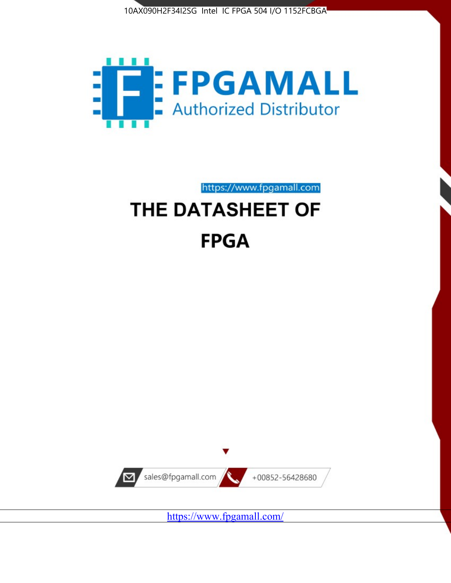



https://www.fpgamall.com

# THE DATASHEET OF **FPGA**



<https://www.fpgamall.com/>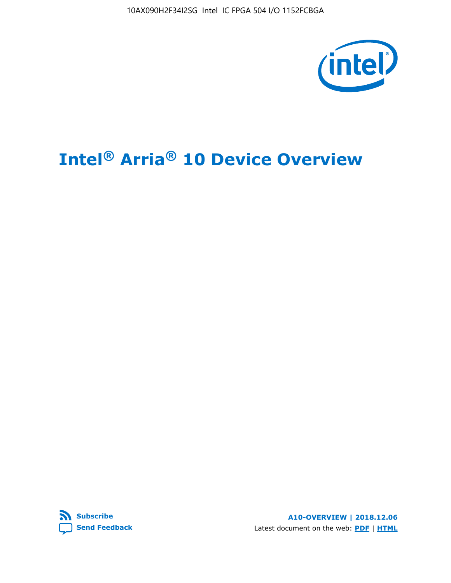10AX090H2F34I2SG Intel IC FPGA 504 I/O 1152FCBGA



# **Intel® Arria® 10 Device Overview**



**A10-OVERVIEW | 2018.12.06** Latest document on the web: **[PDF](https://www.intel.com/content/dam/www/programmable/us/en/pdfs/literature/hb/arria-10/a10_overview.pdf)** | **[HTML](https://www.intel.com/content/www/us/en/programmable/documentation/sam1403480274650.html)**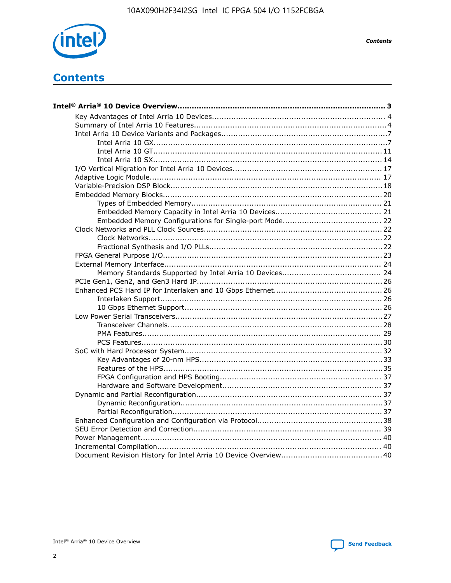

**Contents** 

# **Contents**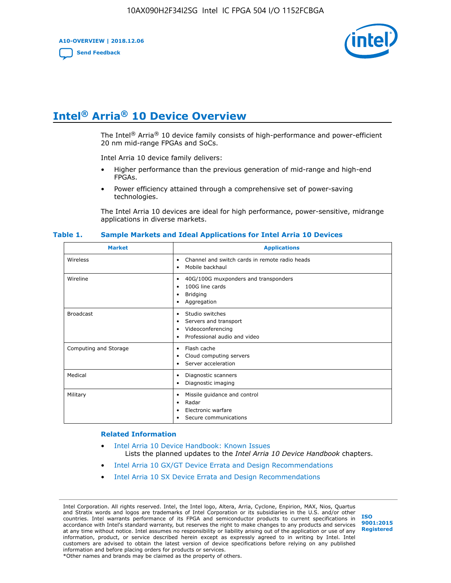**A10-OVERVIEW | 2018.12.06**

**[Send Feedback](mailto:FPGAtechdocfeedback@intel.com?subject=Feedback%20on%20Intel%20Arria%2010%20Device%20Overview%20(A10-OVERVIEW%202018.12.06)&body=We%20appreciate%20your%20feedback.%20In%20your%20comments,%20also%20specify%20the%20page%20number%20or%20paragraph.%20Thank%20you.)**



# **Intel® Arria® 10 Device Overview**

The Intel<sup>®</sup> Arria<sup>®</sup> 10 device family consists of high-performance and power-efficient 20 nm mid-range FPGAs and SoCs.

Intel Arria 10 device family delivers:

- Higher performance than the previous generation of mid-range and high-end FPGAs.
- Power efficiency attained through a comprehensive set of power-saving technologies.

The Intel Arria 10 devices are ideal for high performance, power-sensitive, midrange applications in diverse markets.

| <b>Market</b>         | <b>Applications</b>                                                                                               |
|-----------------------|-------------------------------------------------------------------------------------------------------------------|
| Wireless              | Channel and switch cards in remote radio heads<br>٠<br>Mobile backhaul<br>٠                                       |
| Wireline              | 40G/100G muxponders and transponders<br>٠<br>100G line cards<br>٠<br><b>Bridging</b><br>٠<br>Aggregation<br>٠     |
| <b>Broadcast</b>      | Studio switches<br>٠<br>Servers and transport<br>٠<br>Videoconferencing<br>٠<br>Professional audio and video<br>٠ |
| Computing and Storage | Flash cache<br>٠<br>Cloud computing servers<br>٠<br>Server acceleration<br>٠                                      |
| Medical               | Diagnostic scanners<br>٠<br>Diagnostic imaging<br>٠                                                               |
| Military              | Missile guidance and control<br>٠<br>Radar<br>٠<br>Electronic warfare<br>٠<br>Secure communications<br>٠          |

#### **Table 1. Sample Markets and Ideal Applications for Intel Arria 10 Devices**

#### **Related Information**

- [Intel Arria 10 Device Handbook: Known Issues](http://www.altera.com/support/kdb/solutions/rd07302013_646.html) Lists the planned updates to the *Intel Arria 10 Device Handbook* chapters.
- [Intel Arria 10 GX/GT Device Errata and Design Recommendations](https://www.intel.com/content/www/us/en/programmable/documentation/agz1493851706374.html#yqz1494433888646)
- [Intel Arria 10 SX Device Errata and Design Recommendations](https://www.intel.com/content/www/us/en/programmable/documentation/cru1462832385668.html#cru1462832558642)

Intel Corporation. All rights reserved. Intel, the Intel logo, Altera, Arria, Cyclone, Enpirion, MAX, Nios, Quartus and Stratix words and logos are trademarks of Intel Corporation or its subsidiaries in the U.S. and/or other countries. Intel warrants performance of its FPGA and semiconductor products to current specifications in accordance with Intel's standard warranty, but reserves the right to make changes to any products and services at any time without notice. Intel assumes no responsibility or liability arising out of the application or use of any information, product, or service described herein except as expressly agreed to in writing by Intel. Intel customers are advised to obtain the latest version of device specifications before relying on any published information and before placing orders for products or services. \*Other names and brands may be claimed as the property of others.

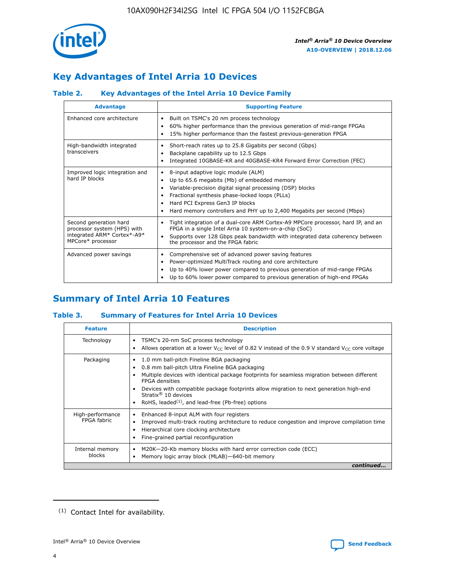

# **Key Advantages of Intel Arria 10 Devices**

## **Table 2. Key Advantages of the Intel Arria 10 Device Family**

| <b>Advantage</b>                                                                                          | <b>Supporting Feature</b>                                                                                                                                                                                                                                                                                                |
|-----------------------------------------------------------------------------------------------------------|--------------------------------------------------------------------------------------------------------------------------------------------------------------------------------------------------------------------------------------------------------------------------------------------------------------------------|
| Enhanced core architecture                                                                                | Built on TSMC's 20 nm process technology<br>٠<br>60% higher performance than the previous generation of mid-range FPGAs<br>٠<br>15% higher performance than the fastest previous-generation FPGA<br>٠                                                                                                                    |
| High-bandwidth integrated<br>transceivers                                                                 | Short-reach rates up to 25.8 Gigabits per second (Gbps)<br>٠<br>Backplane capability up to 12.5 Gbps<br>٠<br>Integrated 10GBASE-KR and 40GBASE-KR4 Forward Error Correction (FEC)<br>٠                                                                                                                                   |
| Improved logic integration and<br>hard IP blocks                                                          | 8-input adaptive logic module (ALM)<br>٠<br>Up to 65.6 megabits (Mb) of embedded memory<br>٠<br>Variable-precision digital signal processing (DSP) blocks<br>Fractional synthesis phase-locked loops (PLLs)<br>Hard PCI Express Gen3 IP blocks<br>Hard memory controllers and PHY up to 2,400 Megabits per second (Mbps) |
| Second generation hard<br>processor system (HPS) with<br>integrated ARM* Cortex*-A9*<br>MPCore* processor | Tight integration of a dual-core ARM Cortex-A9 MPCore processor, hard IP, and an<br>٠<br>FPGA in a single Intel Arria 10 system-on-a-chip (SoC)<br>Supports over 128 Gbps peak bandwidth with integrated data coherency between<br>$\bullet$<br>the processor and the FPGA fabric                                        |
| Advanced power savings                                                                                    | Comprehensive set of advanced power saving features<br>٠<br>Power-optimized MultiTrack routing and core architecture<br>٠<br>Up to 40% lower power compared to previous generation of mid-range FPGAs<br>٠<br>Up to 60% lower power compared to previous generation of high-end FPGAs<br>٠                               |

# **Summary of Intel Arria 10 Features**

## **Table 3. Summary of Features for Intel Arria 10 Devices**

| <b>Feature</b>                  | <b>Description</b>                                                                                                                                                                                                                                                                                                                                                                                       |
|---------------------------------|----------------------------------------------------------------------------------------------------------------------------------------------------------------------------------------------------------------------------------------------------------------------------------------------------------------------------------------------------------------------------------------------------------|
| Technology                      | TSMC's 20-nm SoC process technology<br>٠<br>Allows operation at a lower $V_{\text{CC}}$ level of 0.82 V instead of the 0.9 V standard $V_{\text{CC}}$ core voltage                                                                                                                                                                                                                                       |
| Packaging                       | 1.0 mm ball-pitch Fineline BGA packaging<br>0.8 mm ball-pitch Ultra Fineline BGA packaging<br>Multiple devices with identical package footprints for seamless migration between different<br><b>FPGA</b> densities<br>Devices with compatible package footprints allow migration to next generation high-end<br>Stratix $\mathcal{R}$ 10 devices<br>RoHS, leaded $(1)$ , and lead-free (Pb-free) options |
| High-performance<br>FPGA fabric | Enhanced 8-input ALM with four registers<br>٠<br>Improved multi-track routing architecture to reduce congestion and improve compilation time<br>Hierarchical core clocking architecture<br>Fine-grained partial reconfiguration                                                                                                                                                                          |
| Internal memory<br>blocks       | M20K-20-Kb memory blocks with hard error correction code (ECC)<br>Memory logic array block (MLAB)-640-bit memory                                                                                                                                                                                                                                                                                         |
|                                 | continued                                                                                                                                                                                                                                                                                                                                                                                                |



<sup>(1)</sup> Contact Intel for availability.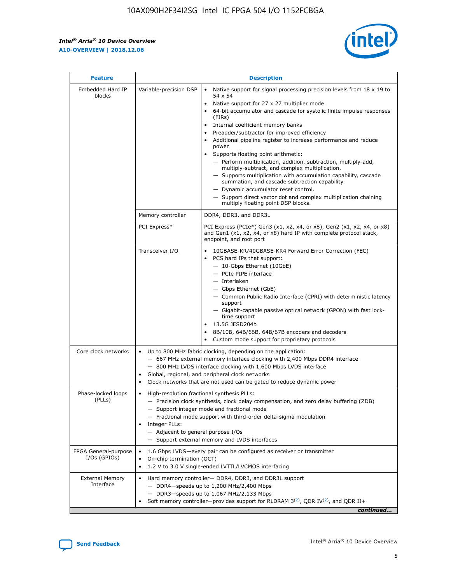r



| <b>Feature</b>                         |                                                                                                                | <b>Description</b>                                                                                                                                                                                                                                                                                                                                                                                                                                                                                                                                                                                                                                                                                                                                                                                                                                               |  |  |  |  |  |  |
|----------------------------------------|----------------------------------------------------------------------------------------------------------------|------------------------------------------------------------------------------------------------------------------------------------------------------------------------------------------------------------------------------------------------------------------------------------------------------------------------------------------------------------------------------------------------------------------------------------------------------------------------------------------------------------------------------------------------------------------------------------------------------------------------------------------------------------------------------------------------------------------------------------------------------------------------------------------------------------------------------------------------------------------|--|--|--|--|--|--|
| Embedded Hard IP<br>blocks             | Variable-precision DSP                                                                                         | Native support for signal processing precision levels from $18 \times 19$ to<br>$\bullet$<br>54 x 54<br>Native support for 27 x 27 multiplier mode<br>$\bullet$<br>64-bit accumulator and cascade for systolic finite impulse responses<br>(FIRs)<br>Internal coefficient memory banks<br>$\bullet$<br>Preadder/subtractor for improved efficiency<br>Additional pipeline register to increase performance and reduce<br>power<br>Supports floating point arithmetic:<br>- Perform multiplication, addition, subtraction, multiply-add,<br>multiply-subtract, and complex multiplication.<br>- Supports multiplication with accumulation capability, cascade<br>summation, and cascade subtraction capability.<br>- Dynamic accumulator reset control.<br>- Support direct vector dot and complex multiplication chaining<br>multiply floating point DSP blocks. |  |  |  |  |  |  |
|                                        | Memory controller                                                                                              | DDR4, DDR3, and DDR3L                                                                                                                                                                                                                                                                                                                                                                                                                                                                                                                                                                                                                                                                                                                                                                                                                                            |  |  |  |  |  |  |
|                                        | PCI Express*                                                                                                   | PCI Express (PCIe*) Gen3 (x1, x2, x4, or x8), Gen2 (x1, x2, x4, or x8)<br>and Gen1 (x1, x2, x4, or x8) hard IP with complete protocol stack,<br>endpoint, and root port                                                                                                                                                                                                                                                                                                                                                                                                                                                                                                                                                                                                                                                                                          |  |  |  |  |  |  |
|                                        | Transceiver I/O                                                                                                | 10GBASE-KR/40GBASE-KR4 Forward Error Correction (FEC)<br>PCS hard IPs that support:<br>- 10-Gbps Ethernet (10GbE)<br>- PCIe PIPE interface<br>- Interlaken<br>- Gbps Ethernet (GbE)<br>- Common Public Radio Interface (CPRI) with deterministic latency<br>support<br>- Gigabit-capable passive optical network (GPON) with fast lock-<br>time support<br>13.5G JESD204b<br>$\bullet$<br>8B/10B, 64B/66B, 64B/67B encoders and decoders<br>Custom mode support for proprietary protocols                                                                                                                                                                                                                                                                                                                                                                        |  |  |  |  |  |  |
| Core clock networks                    | $\bullet$                                                                                                      | Up to 800 MHz fabric clocking, depending on the application:<br>- 667 MHz external memory interface clocking with 2,400 Mbps DDR4 interface<br>- 800 MHz LVDS interface clocking with 1,600 Mbps LVDS interface<br>Global, regional, and peripheral clock networks<br>Clock networks that are not used can be gated to reduce dynamic power                                                                                                                                                                                                                                                                                                                                                                                                                                                                                                                      |  |  |  |  |  |  |
| Phase-locked loops<br>(PLLs)           | High-resolution fractional synthesis PLLs:<br>$\bullet$<br>Integer PLLs:<br>- Adjacent to general purpose I/Os | - Precision clock synthesis, clock delay compensation, and zero delay buffering (ZDB)<br>- Support integer mode and fractional mode<br>- Fractional mode support with third-order delta-sigma modulation<br>- Support external memory and LVDS interfaces                                                                                                                                                                                                                                                                                                                                                                                                                                                                                                                                                                                                        |  |  |  |  |  |  |
| FPGA General-purpose<br>$I/Os$ (GPIOs) | On-chip termination (OCT)<br>٠<br>$\bullet$                                                                    | 1.6 Gbps LVDS-every pair can be configured as receiver or transmitter                                                                                                                                                                                                                                                                                                                                                                                                                                                                                                                                                                                                                                                                                                                                                                                            |  |  |  |  |  |  |
| <b>External Memory</b><br>Interface    | $\bullet$                                                                                                      | 1.2 V to 3.0 V single-ended LVTTL/LVCMOS interfacing<br>Hard memory controller- DDR4, DDR3, and DDR3L support<br>$-$ DDR4-speeds up to 1,200 MHz/2,400 Mbps<br>- DDR3-speeds up to 1,067 MHz/2,133 Mbps<br>Soft memory controller—provides support for RLDRAM $3^{(2)}$ , QDR IV $^{(2)}$ , and QDR II+<br>continued                                                                                                                                                                                                                                                                                                                                                                                                                                                                                                                                             |  |  |  |  |  |  |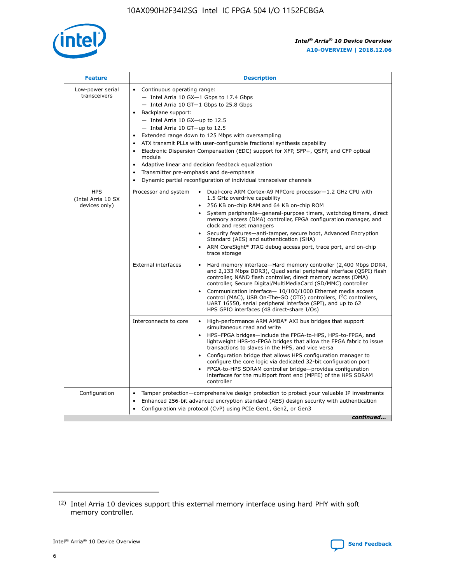

| <b>Feature</b>                                    | <b>Description</b>                                                                                                                                                                                                                                                                                                                                                                                                                                                                                                                                                                                                                                    |
|---------------------------------------------------|-------------------------------------------------------------------------------------------------------------------------------------------------------------------------------------------------------------------------------------------------------------------------------------------------------------------------------------------------------------------------------------------------------------------------------------------------------------------------------------------------------------------------------------------------------------------------------------------------------------------------------------------------------|
| Low-power serial<br>transceivers                  | • Continuous operating range:<br>- Intel Arria 10 GX-1 Gbps to 17.4 Gbps<br>- Intel Arria 10 GT-1 Gbps to 25.8 Gbps<br>Backplane support:<br>$-$ Intel Arria 10 GX-up to 12.5<br>- Intel Arria 10 GT-up to 12.5<br>Extended range down to 125 Mbps with oversampling<br>ATX transmit PLLs with user-configurable fractional synthesis capability<br>Electronic Dispersion Compensation (EDC) support for XFP, SFP+, QSFP, and CFP optical<br>module<br>Adaptive linear and decision feedback equalization<br>$\bullet$<br>Transmitter pre-emphasis and de-emphasis<br>$\bullet$<br>Dynamic partial reconfiguration of individual transceiver channels |
| <b>HPS</b><br>(Intel Arria 10 SX<br>devices only) | • Dual-core ARM Cortex-A9 MPCore processor-1.2 GHz CPU with<br>Processor and system<br>1.5 GHz overdrive capability<br>256 KB on-chip RAM and 64 KB on-chip ROM<br>$\bullet$<br>System peripherals—general-purpose timers, watchdog timers, direct<br>memory access (DMA) controller, FPGA configuration manager, and<br>clock and reset managers<br>Security features—anti-tamper, secure boot, Advanced Encryption<br>$\bullet$<br>Standard (AES) and authentication (SHA)<br>ARM CoreSight* JTAG debug access port, trace port, and on-chip<br>$\bullet$<br>trace storage                                                                          |
|                                                   | <b>External interfaces</b><br>Hard memory interface-Hard memory controller (2,400 Mbps DDR4,<br>$\bullet$<br>and 2,133 Mbps DDR3), Quad serial peripheral interface (QSPI) flash<br>controller, NAND flash controller, direct memory access (DMA)<br>controller, Secure Digital/MultiMediaCard (SD/MMC) controller<br>Communication interface-10/100/1000 Ethernet media access<br>$\bullet$<br>control (MAC), USB On-The-GO (OTG) controllers, I <sup>2</sup> C controllers,<br>UART 16550, serial peripheral interface (SPI), and up to 62<br>HPS GPIO interfaces (48 direct-share I/Os)                                                            |
|                                                   | High-performance ARM AMBA* AXI bus bridges that support<br>Interconnects to core<br>$\bullet$<br>simultaneous read and write<br>HPS-FPGA bridges-include the FPGA-to-HPS, HPS-to-FPGA, and<br>$\bullet$<br>lightweight HPS-to-FPGA bridges that allow the FPGA fabric to issue<br>transactions to slaves in the HPS, and vice versa<br>Configuration bridge that allows HPS configuration manager to<br>configure the core logic via dedicated 32-bit configuration port<br>FPGA-to-HPS SDRAM controller bridge-provides configuration<br>interfaces for the multiport front end (MPFE) of the HPS SDRAM<br>controller                                |
| Configuration                                     | Tamper protection—comprehensive design protection to protect your valuable IP investments<br>Enhanced 256-bit advanced encryption standard (AES) design security with authentication<br>٠<br>Configuration via protocol (CvP) using PCIe Gen1, Gen2, or Gen3<br>continued                                                                                                                                                                                                                                                                                                                                                                             |

<sup>(2)</sup> Intel Arria 10 devices support this external memory interface using hard PHY with soft memory controller.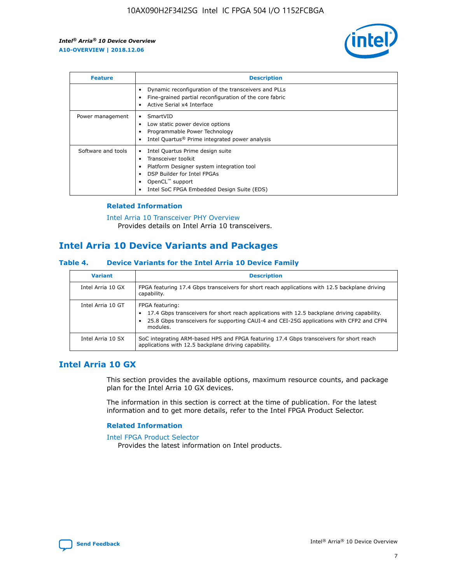

| <b>Feature</b>     | <b>Description</b>                                                                                                                                                                                               |
|--------------------|------------------------------------------------------------------------------------------------------------------------------------------------------------------------------------------------------------------|
|                    | Dynamic reconfiguration of the transceivers and PLLs<br>Fine-grained partial reconfiguration of the core fabric<br>Active Serial x4 Interface<br>$\bullet$                                                       |
| Power management   | SmartVID<br>Low static power device options<br>Programmable Power Technology<br>Intel Quartus <sup>®</sup> Prime integrated power analysis                                                                       |
| Software and tools | Intel Quartus Prime design suite<br>Transceiver toolkit<br>Platform Designer system integration tool<br>DSP Builder for Intel FPGAs<br>OpenCL <sup>™</sup> support<br>Intel SoC FPGA Embedded Design Suite (EDS) |

## **Related Information**

[Intel Arria 10 Transceiver PHY Overview](https://www.intel.com/content/www/us/en/programmable/documentation/nik1398707230472.html#nik1398706768037) Provides details on Intel Arria 10 transceivers.

## **Intel Arria 10 Device Variants and Packages**

#### **Table 4. Device Variants for the Intel Arria 10 Device Family**

| <b>Variant</b>    | <b>Description</b>                                                                                                                                                                                                     |
|-------------------|------------------------------------------------------------------------------------------------------------------------------------------------------------------------------------------------------------------------|
| Intel Arria 10 GX | FPGA featuring 17.4 Gbps transceivers for short reach applications with 12.5 backplane driving<br>capability.                                                                                                          |
| Intel Arria 10 GT | FPGA featuring:<br>17.4 Gbps transceivers for short reach applications with 12.5 backplane driving capability.<br>25.8 Gbps transceivers for supporting CAUI-4 and CEI-25G applications with CFP2 and CFP4<br>modules. |
| Intel Arria 10 SX | SoC integrating ARM-based HPS and FPGA featuring 17.4 Gbps transceivers for short reach<br>applications with 12.5 backplane driving capability.                                                                        |

## **Intel Arria 10 GX**

This section provides the available options, maximum resource counts, and package plan for the Intel Arria 10 GX devices.

The information in this section is correct at the time of publication. For the latest information and to get more details, refer to the Intel FPGA Product Selector.

#### **Related Information**

#### [Intel FPGA Product Selector](http://www.altera.com/products/selector/psg-selector.html) Provides the latest information on Intel products.

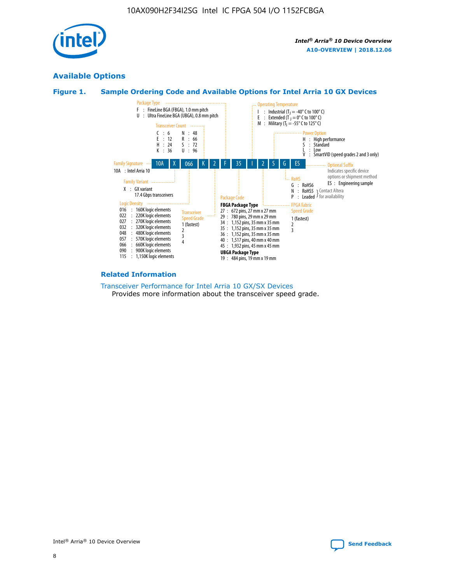

## **Available Options**





#### **Related Information**

[Transceiver Performance for Intel Arria 10 GX/SX Devices](https://www.intel.com/content/www/us/en/programmable/documentation/mcn1413182292568.html#mcn1413213965502) Provides more information about the transceiver speed grade.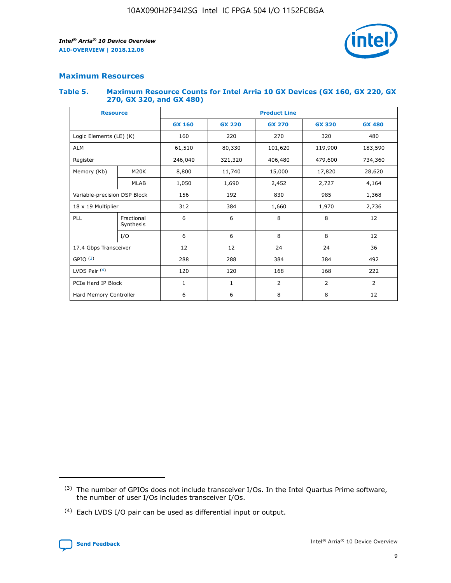

## **Maximum Resources**

#### **Table 5. Maximum Resource Counts for Intel Arria 10 GX Devices (GX 160, GX 220, GX 270, GX 320, and GX 480)**

| <b>Resource</b>         |                              | <b>Product Line</b> |                                                 |                |                |                |  |  |
|-------------------------|------------------------------|---------------------|-------------------------------------------------|----------------|----------------|----------------|--|--|
|                         |                              | <b>GX 160</b>       | <b>GX 220</b><br><b>GX 270</b><br><b>GX 320</b> |                |                | <b>GX 480</b>  |  |  |
| Logic Elements (LE) (K) |                              | 160                 | 220                                             | 270            | 320            | 480            |  |  |
| <b>ALM</b>              |                              | 61,510              | 80,330                                          | 101,620        | 119,900        | 183,590        |  |  |
| Register                |                              | 246,040             | 321,320                                         | 406,480        | 479,600        | 734,360        |  |  |
| Memory (Kb)             | M <sub>20</sub> K            | 8,800               | 11,740                                          | 15,000         | 17,820         | 28,620         |  |  |
|                         | <b>MLAB</b>                  | 1,050               | 1,690                                           | 2,452          | 2,727          | 4,164          |  |  |
|                         | Variable-precision DSP Block |                     | 192                                             | 830<br>985     |                | 1,368          |  |  |
| 18 x 19 Multiplier      |                              | 312                 | 384                                             | 1,970<br>1,660 |                | 2,736          |  |  |
| PLL                     | Fractional<br>Synthesis      | 6                   | 6                                               | 8              | 8              | 12             |  |  |
|                         | I/O                          | 6                   | 6                                               | 8              | 8              | 12             |  |  |
| 17.4 Gbps Transceiver   |                              | 12                  | 12                                              | 24             | 24             | 36             |  |  |
| GPIO <sup>(3)</sup>     |                              | 288                 | 288                                             | 384            | 384            | 492            |  |  |
| LVDS Pair $(4)$         |                              | 120                 | 120                                             | 168            | 168            | 222            |  |  |
| PCIe Hard IP Block      |                              | 1                   | 1                                               | 2              | $\overline{2}$ | $\overline{2}$ |  |  |
| Hard Memory Controller  |                              | 6                   | 6                                               | 8              | 8              | 12             |  |  |

<sup>(4)</sup> Each LVDS I/O pair can be used as differential input or output.



<sup>(3)</sup> The number of GPIOs does not include transceiver I/Os. In the Intel Quartus Prime software, the number of user I/Os includes transceiver I/Os.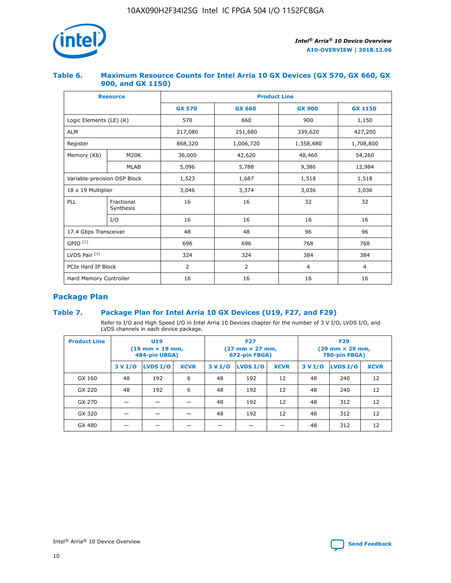

## **Table 6. Maximum Resource Counts for Intel Arria 10 GX Devices (GX 570, GX 660, GX 900, and GX 1150)**

|                              | <b>Resource</b>         | <b>Product Line</b> |                |                |                |  |  |  |
|------------------------------|-------------------------|---------------------|----------------|----------------|----------------|--|--|--|
|                              |                         | <b>GX 570</b>       | <b>GX 660</b>  |                | <b>GX 1150</b> |  |  |  |
| Logic Elements (LE) (K)      |                         | 570                 | 660            | 900            | 1,150          |  |  |  |
| <b>ALM</b>                   |                         | 217,080             | 251,680        | 339,620        | 427,200        |  |  |  |
| Register                     |                         | 868,320             | 1,006,720      | 1,358,480      | 1,708,800      |  |  |  |
| Memory (Kb)                  | <b>M20K</b>             | 36,000              | 42,620         | 48,460         | 54,260         |  |  |  |
|                              | <b>MLAB</b>             | 5,096               | 5,788<br>9,386 |                | 12,984         |  |  |  |
| Variable-precision DSP Block |                         | 1,523               | 1,687          | 1,518          | 1,518          |  |  |  |
|                              | 18 x 19 Multiplier      |                     | 3,374          | 3,036          | 3,036          |  |  |  |
| PLL                          | Fractional<br>Synthesis | 16                  | 16             | 32             | 32             |  |  |  |
|                              | I/O                     | 16                  | 16             | 16             | 16             |  |  |  |
| 17.4 Gbps Transceiver        |                         | 48                  | 48             | 96             | 96             |  |  |  |
| GPIO <sup>(3)</sup>          |                         | 696                 | 696            | 768            | 768            |  |  |  |
| LVDS Pair $(4)$              |                         | 324                 | 324<br>384     |                | 384            |  |  |  |
| PCIe Hard IP Block           |                         | 2                   | $\overline{2}$ | $\overline{4}$ | $\overline{4}$ |  |  |  |
| Hard Memory Controller       |                         | 16                  | 16             | 16             | 16             |  |  |  |

## **Package Plan**

## **Table 7. Package Plan for Intel Arria 10 GX Devices (U19, F27, and F29)**

Refer to I/O and High Speed I/O in Intel Arria 10 Devices chapter for the number of 3 V I/O, LVDS I/O, and LVDS channels in each device package.

| <b>Product Line</b> | U <sub>19</sub><br>$(19 \text{ mm} \times 19 \text{ mm})$<br>484-pin UBGA) |          |             |         | <b>F27</b><br>(27 mm × 27 mm,<br>672-pin FBGA) |             | <b>F29</b><br>(29 mm × 29 mm,<br>780-pin FBGA) |          |             |  |
|---------------------|----------------------------------------------------------------------------|----------|-------------|---------|------------------------------------------------|-------------|------------------------------------------------|----------|-------------|--|
|                     | 3 V I/O                                                                    | LVDS I/O | <b>XCVR</b> | 3 V I/O | LVDS I/O                                       | <b>XCVR</b> | 3 V I/O                                        | LVDS I/O | <b>XCVR</b> |  |
| GX 160              | 48                                                                         | 192      | 6           | 48      | 192                                            | 12          | 48                                             | 240      | 12          |  |
| GX 220              | 48                                                                         | 192      | 6           | 48      | 192                                            | 12          | 48                                             | 240      | 12          |  |
| GX 270              |                                                                            |          |             | 48      | 192                                            | 12          | 48                                             | 312      | 12          |  |
| GX 320              |                                                                            |          |             | 48      | 192                                            | 12          | 48                                             | 312      | 12          |  |
| GX 480              |                                                                            |          |             |         |                                                |             | 48                                             | 312      | 12          |  |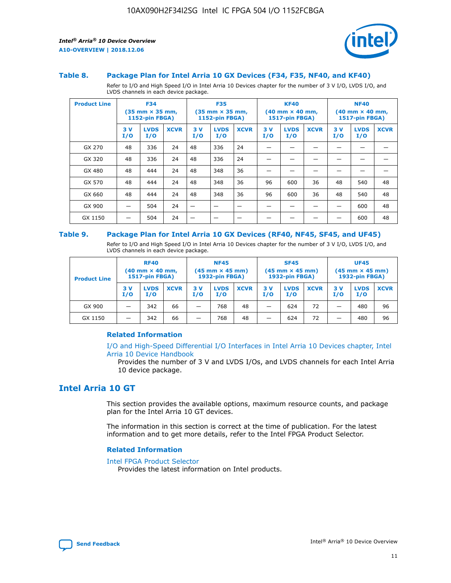

#### **Table 8. Package Plan for Intel Arria 10 GX Devices (F34, F35, NF40, and KF40)**

Refer to I/O and High Speed I/O in Intel Arria 10 Devices chapter for the number of 3 V I/O, LVDS I/O, and LVDS channels in each device package.

| <b>Product Line</b> | <b>F34</b><br>$(35 \text{ mm} \times 35 \text{ mm})$<br><b>1152-pin FBGA)</b> |                    | <b>F35</b><br>$(35 \text{ mm} \times 35 \text{ mm})$<br>1152-pin FBGA) |           | <b>KF40</b><br>$(40$ mm $\times$ 40 mm,<br><b>1517-pin FBGA)</b> |             |           | <b>NF40</b><br>$(40 \text{ mm} \times 40 \text{ mm})$<br>1517-pin FBGA) |             |           |                    |             |
|---------------------|-------------------------------------------------------------------------------|--------------------|------------------------------------------------------------------------|-----------|------------------------------------------------------------------|-------------|-----------|-------------------------------------------------------------------------|-------------|-----------|--------------------|-------------|
|                     | 3V<br>I/O                                                                     | <b>LVDS</b><br>I/O | <b>XCVR</b>                                                            | 3V<br>I/O | <b>LVDS</b><br>I/O                                               | <b>XCVR</b> | 3V<br>I/O | <b>LVDS</b><br>I/O                                                      | <b>XCVR</b> | 3V<br>I/O | <b>LVDS</b><br>I/O | <b>XCVR</b> |
| GX 270              | 48                                                                            | 336                | 24                                                                     | 48        | 336                                                              | 24          |           |                                                                         |             |           |                    |             |
| GX 320              | 48                                                                            | 336                | 24                                                                     | 48        | 336                                                              | 24          |           |                                                                         |             |           |                    |             |
| GX 480              | 48                                                                            | 444                | 24                                                                     | 48        | 348                                                              | 36          |           |                                                                         |             |           |                    |             |
| GX 570              | 48                                                                            | 444                | 24                                                                     | 48        | 348                                                              | 36          | 96        | 600                                                                     | 36          | 48        | 540                | 48          |
| GX 660              | 48                                                                            | 444                | 24                                                                     | 48        | 348                                                              | 36          | 96        | 600                                                                     | 36          | 48        | 540                | 48          |
| GX 900              |                                                                               | 504                | 24                                                                     | –         |                                                                  | -           |           |                                                                         |             |           | 600                | 48          |
| GX 1150             |                                                                               | 504                | 24                                                                     |           |                                                                  |             |           |                                                                         |             |           | 600                | 48          |

#### **Table 9. Package Plan for Intel Arria 10 GX Devices (RF40, NF45, SF45, and UF45)**

Refer to I/O and High Speed I/O in Intel Arria 10 Devices chapter for the number of 3 V I/O, LVDS I/O, and LVDS channels in each device package.

| <b>Product Line</b> | <b>RF40</b><br>$(40$ mm $\times$ 40 mm,<br>1517-pin FBGA) |                    |             | <b>NF45</b><br>$(45 \text{ mm} \times 45 \text{ mm})$<br><b>1932-pin FBGA)</b> |                    |             | <b>SF45</b><br>$(45 \text{ mm} \times 45 \text{ mm})$<br><b>1932-pin FBGA)</b> |                    |             | <b>UF45</b><br>$(45 \text{ mm} \times 45 \text{ mm})$<br><b>1932-pin FBGA)</b> |                    |             |
|---------------------|-----------------------------------------------------------|--------------------|-------------|--------------------------------------------------------------------------------|--------------------|-------------|--------------------------------------------------------------------------------|--------------------|-------------|--------------------------------------------------------------------------------|--------------------|-------------|
|                     | 3V<br>I/O                                                 | <b>LVDS</b><br>I/O | <b>XCVR</b> | 3 V<br>I/O                                                                     | <b>LVDS</b><br>I/O | <b>XCVR</b> | 3 V<br>I/O                                                                     | <b>LVDS</b><br>I/O | <b>XCVR</b> | 3V<br>I/O                                                                      | <b>LVDS</b><br>I/O | <b>XCVR</b> |
| GX 900              |                                                           | 342                | 66          | _                                                                              | 768                | 48          |                                                                                | 624                | 72          |                                                                                | 480                | 96          |
| GX 1150             |                                                           | 342                | 66          | _                                                                              | 768                | 48          |                                                                                | 624                | 72          |                                                                                | 480                | 96          |

#### **Related Information**

[I/O and High-Speed Differential I/O Interfaces in Intel Arria 10 Devices chapter, Intel](https://www.intel.com/content/www/us/en/programmable/documentation/sam1403482614086.html#sam1403482030321) [Arria 10 Device Handbook](https://www.intel.com/content/www/us/en/programmable/documentation/sam1403482614086.html#sam1403482030321)

Provides the number of 3 V and LVDS I/Os, and LVDS channels for each Intel Arria 10 device package.

## **Intel Arria 10 GT**

This section provides the available options, maximum resource counts, and package plan for the Intel Arria 10 GT devices.

The information in this section is correct at the time of publication. For the latest information and to get more details, refer to the Intel FPGA Product Selector.

#### **Related Information**

#### [Intel FPGA Product Selector](http://www.altera.com/products/selector/psg-selector.html)

Provides the latest information on Intel products.

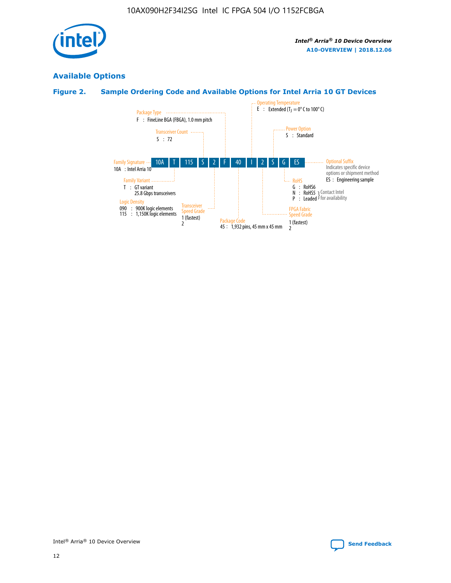

## **Available Options**

## **Figure 2. Sample Ordering Code and Available Options for Intel Arria 10 GT Devices**

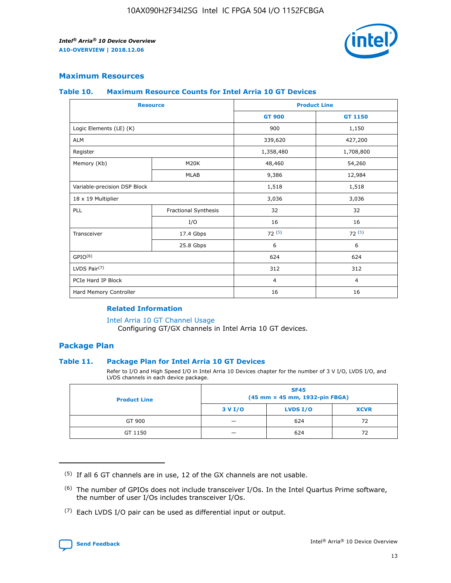

## **Maximum Resources**

#### **Table 10. Maximum Resource Counts for Intel Arria 10 GT Devices**

|                              | <b>Resource</b>      | <b>Product Line</b> |                |  |
|------------------------------|----------------------|---------------------|----------------|--|
|                              |                      | <b>GT 900</b>       | GT 1150        |  |
| Logic Elements (LE) (K)      |                      | 900                 | 1,150          |  |
| <b>ALM</b>                   |                      | 339,620             | 427,200        |  |
| Register                     |                      | 1,358,480           | 1,708,800      |  |
| Memory (Kb)                  | M20K                 | 48,460              | 54,260         |  |
|                              | <b>MLAB</b>          | 9,386               | 12,984         |  |
| Variable-precision DSP Block |                      | 1,518               | 1,518          |  |
| 18 x 19 Multiplier           |                      | 3,036               | 3,036          |  |
| PLL                          | Fractional Synthesis | 32                  | 32             |  |
|                              | I/O                  | 16                  | 16             |  |
| Transceiver                  | 17.4 Gbps            | 72(5)               | 72(5)          |  |
|                              | 25.8 Gbps            | 6                   | 6              |  |
| GPIO <sup>(6)</sup>          |                      | 624                 | 624            |  |
| LVDS Pair $(7)$              |                      | 312                 | 312            |  |
| PCIe Hard IP Block           |                      | $\overline{4}$      | $\overline{4}$ |  |
| Hard Memory Controller       |                      | 16                  | 16             |  |

#### **Related Information**

#### [Intel Arria 10 GT Channel Usage](https://www.intel.com/content/www/us/en/programmable/documentation/nik1398707230472.html#nik1398707008178)

Configuring GT/GX channels in Intel Arria 10 GT devices.

## **Package Plan**

#### **Table 11. Package Plan for Intel Arria 10 GT Devices**

Refer to I/O and High Speed I/O in Intel Arria 10 Devices chapter for the number of 3 V I/O, LVDS I/O, and LVDS channels in each device package.

| <b>Product Line</b> | <b>SF45</b><br>(45 mm × 45 mm, 1932-pin FBGA) |                 |             |  |  |  |
|---------------------|-----------------------------------------------|-----------------|-------------|--|--|--|
|                     | 3 V I/O                                       | <b>LVDS I/O</b> | <b>XCVR</b> |  |  |  |
| GT 900              |                                               | 624             | 72          |  |  |  |
| GT 1150             |                                               | 624             | 72          |  |  |  |

<sup>(7)</sup> Each LVDS I/O pair can be used as differential input or output.



 $(5)$  If all 6 GT channels are in use, 12 of the GX channels are not usable.

<sup>(6)</sup> The number of GPIOs does not include transceiver I/Os. In the Intel Quartus Prime software, the number of user I/Os includes transceiver I/Os.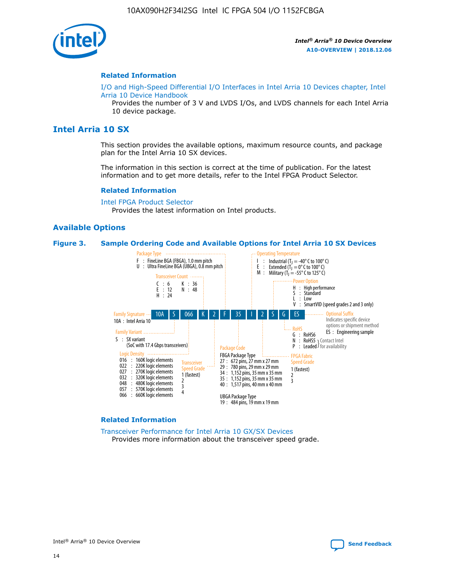

#### **Related Information**

[I/O and High-Speed Differential I/O Interfaces in Intel Arria 10 Devices chapter, Intel](https://www.intel.com/content/www/us/en/programmable/documentation/sam1403482614086.html#sam1403482030321) [Arria 10 Device Handbook](https://www.intel.com/content/www/us/en/programmable/documentation/sam1403482614086.html#sam1403482030321)

Provides the number of 3 V and LVDS I/Os, and LVDS channels for each Intel Arria 10 device package.

## **Intel Arria 10 SX**

This section provides the available options, maximum resource counts, and package plan for the Intel Arria 10 SX devices.

The information in this section is correct at the time of publication. For the latest information and to get more details, refer to the Intel FPGA Product Selector.

#### **Related Information**

[Intel FPGA Product Selector](http://www.altera.com/products/selector/psg-selector.html) Provides the latest information on Intel products.

#### **Available Options**

#### **Figure 3. Sample Ordering Code and Available Options for Intel Arria 10 SX Devices**



#### **Related Information**

[Transceiver Performance for Intel Arria 10 GX/SX Devices](https://www.intel.com/content/www/us/en/programmable/documentation/mcn1413182292568.html#mcn1413213965502) Provides more information about the transceiver speed grade.

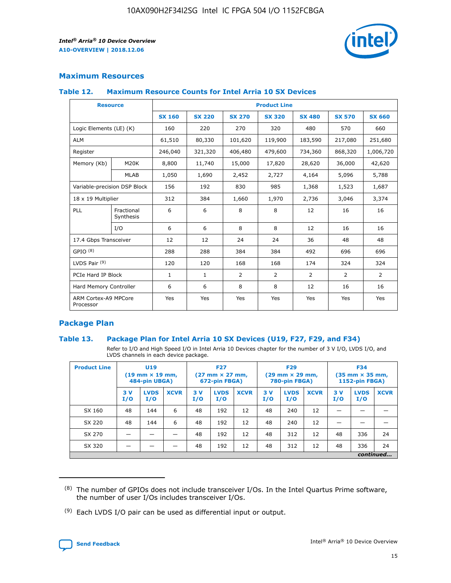

## **Maximum Resources**

#### **Table 12. Maximum Resource Counts for Intel Arria 10 SX Devices**

| <b>Resource</b>                   |                         | <b>Product Line</b> |               |                |                |                |                |                |  |  |  |
|-----------------------------------|-------------------------|---------------------|---------------|----------------|----------------|----------------|----------------|----------------|--|--|--|
|                                   |                         | <b>SX 160</b>       | <b>SX 220</b> | <b>SX 270</b>  | <b>SX 320</b>  | <b>SX 480</b>  | <b>SX 570</b>  | <b>SX 660</b>  |  |  |  |
| Logic Elements (LE) (K)           |                         | 160                 | 220           | 270            | 320            | 480            | 570            | 660            |  |  |  |
| <b>ALM</b>                        |                         | 61,510              | 80,330        | 101,620        | 119,900        | 183,590        | 217,080        | 251,680        |  |  |  |
| Register                          |                         | 246,040             | 321,320       | 406,480        | 479,600        | 734,360        | 868,320        | 1,006,720      |  |  |  |
| Memory (Kb)                       | M <sub>20</sub> K       | 8,800               | 11,740        | 15,000         | 17,820         | 28,620         | 36,000         | 42,620         |  |  |  |
|                                   | <b>MLAB</b>             | 1,050               | 1,690         | 2,452          | 2,727          | 4,164          | 5,096          | 5,788          |  |  |  |
| Variable-precision DSP Block      |                         | 156                 | 192           | 830            | 985            | 1,368          | 1,523          | 1,687          |  |  |  |
| 18 x 19 Multiplier                |                         | 312                 | 384           | 1,660          | 1,970          | 2,736          | 3,046          | 3,374          |  |  |  |
| PLL                               | Fractional<br>Synthesis | 6                   | 6             | 8              | 8              | 12             | 16             | 16             |  |  |  |
|                                   | I/O                     | 6                   | 6             | 8              | 8              | 12             | 16             | 16             |  |  |  |
| 17.4 Gbps Transceiver             |                         | 12                  | 12            | 24             | 24             | 36             | 48             | 48             |  |  |  |
| GPIO <sup>(8)</sup>               |                         | 288                 | 288           | 384            | 384            | 492            | 696            | 696            |  |  |  |
| LVDS Pair $(9)$                   |                         | 120                 | 120           | 168            | 168            | 174            | 324            | 324            |  |  |  |
|                                   | PCIe Hard IP Block      |                     | $\mathbf{1}$  | $\overline{2}$ | $\overline{2}$ | $\overline{2}$ | $\overline{2}$ | $\overline{2}$ |  |  |  |
| Hard Memory Controller            |                         | 6                   | 6             | 8              | 8              | 12             | 16             | 16             |  |  |  |
| ARM Cortex-A9 MPCore<br>Processor |                         | Yes                 | Yes           | Yes            | Yes            | Yes            | Yes            | <b>Yes</b>     |  |  |  |

## **Package Plan**

#### **Table 13. Package Plan for Intel Arria 10 SX Devices (U19, F27, F29, and F34)**

Refer to I/O and High Speed I/O in Intel Arria 10 Devices chapter for the number of 3 V I/O, LVDS I/O, and LVDS channels in each device package.

| <b>Product Line</b> | U19<br>$(19 \text{ mm} \times 19 \text{ mm})$<br>484-pin UBGA) |                    | <b>F27</b><br>$(27 \text{ mm} \times 27 \text{ mm})$<br>672-pin FBGA) |           | <b>F29</b><br>$(29 \text{ mm} \times 29 \text{ mm})$<br>780-pin FBGA) |             |            | <b>F34</b><br>$(35 \text{ mm} \times 35 \text{ mm})$<br><b>1152-pin FBGA)</b> |             |           |                    |             |
|---------------------|----------------------------------------------------------------|--------------------|-----------------------------------------------------------------------|-----------|-----------------------------------------------------------------------|-------------|------------|-------------------------------------------------------------------------------|-------------|-----------|--------------------|-------------|
|                     | 3V<br>I/O                                                      | <b>LVDS</b><br>I/O | <b>XCVR</b>                                                           | 3V<br>I/O | <b>LVDS</b><br>I/O                                                    | <b>XCVR</b> | 3 V<br>I/O | <b>LVDS</b><br>I/O                                                            | <b>XCVR</b> | 3V<br>I/O | <b>LVDS</b><br>I/O | <b>XCVR</b> |
| SX 160              | 48                                                             | 144                | 6                                                                     | 48        | 192                                                                   | 12          | 48         | 240                                                                           | 12          | –         |                    |             |
| SX 220              | 48                                                             | 144                | 6                                                                     | 48        | 192                                                                   | 12          | 48         | 240                                                                           | 12          |           |                    |             |
| SX 270              |                                                                |                    |                                                                       | 48        | 192                                                                   | 12          | 48         | 312                                                                           | 12          | 48        | 336                | 24          |
| SX 320              |                                                                |                    |                                                                       | 48        | 192                                                                   | 12          | 48         | 312                                                                           | 12          | 48        | 336                | 24          |
|                     | continued                                                      |                    |                                                                       |           |                                                                       |             |            |                                                                               |             |           |                    |             |

 $(8)$  The number of GPIOs does not include transceiver I/Os. In the Intel Quartus Prime software, the number of user I/Os includes transceiver I/Os.

 $(9)$  Each LVDS I/O pair can be used as differential input or output.

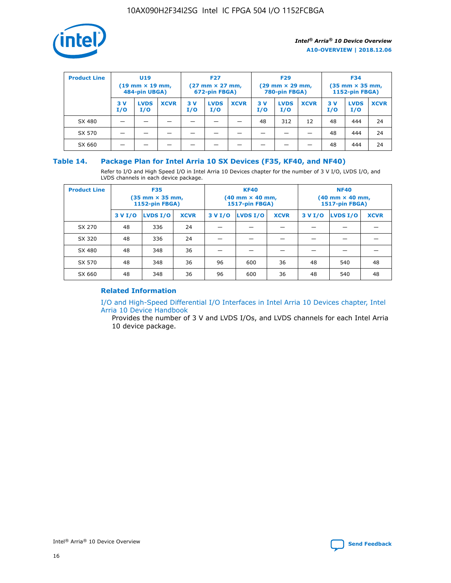

| <b>Product Line</b> | U <sub>19</sub><br>$(19 \text{ mm} \times 19 \text{ mm})$<br>484-pin UBGA) |                    | <b>F27</b><br>$(27 \text{ mm} \times 27 \text{ mm})$<br>672-pin FBGA) |           | <b>F29</b><br>$(29$ mm $\times$ 29 mm,<br>780-pin FBGA) |             |           | <b>F34</b><br>$(35$ mm $\times$ 35 mm,<br><b>1152-pin FBGA)</b> |             |            |                    |             |
|---------------------|----------------------------------------------------------------------------|--------------------|-----------------------------------------------------------------------|-----------|---------------------------------------------------------|-------------|-----------|-----------------------------------------------------------------|-------------|------------|--------------------|-------------|
|                     | 3 V<br>I/O                                                                 | <b>LVDS</b><br>I/O | <b>XCVR</b>                                                           | 3V<br>I/O | <b>LVDS</b><br>I/O                                      | <b>XCVR</b> | 3V<br>I/O | <b>LVDS</b><br>I/O                                              | <b>XCVR</b> | 3 V<br>I/O | <b>LVDS</b><br>I/O | <b>XCVR</b> |
| SX 480              |                                                                            |                    |                                                                       |           |                                                         |             | 48        | 312                                                             | 12          | 48         | 444                | 24          |
| SX 570              |                                                                            |                    |                                                                       |           |                                                         |             |           |                                                                 |             | 48         | 444                | 24          |
| SX 660              |                                                                            |                    |                                                                       |           |                                                         |             |           |                                                                 |             | 48         | 444                | 24          |

## **Table 14. Package Plan for Intel Arria 10 SX Devices (F35, KF40, and NF40)**

Refer to I/O and High Speed I/O in Intel Arria 10 Devices chapter for the number of 3 V I/O, LVDS I/O, and LVDS channels in each device package.

| <b>Product Line</b> | <b>F35</b><br>(35 mm × 35 mm,<br><b>1152-pin FBGA)</b> |          |             |                                           | <b>KF40</b><br>(40 mm × 40 mm,<br>1517-pin FBGA) |    | <b>NF40</b><br>$(40 \text{ mm} \times 40 \text{ mm})$<br>1517-pin FBGA) |          |             |  |
|---------------------|--------------------------------------------------------|----------|-------------|-------------------------------------------|--------------------------------------------------|----|-------------------------------------------------------------------------|----------|-------------|--|
|                     | 3 V I/O                                                | LVDS I/O | <b>XCVR</b> | <b>LVDS I/O</b><br>3 V I/O<br><b>XCVR</b> |                                                  |    | 3 V I/O                                                                 | LVDS I/O | <b>XCVR</b> |  |
| SX 270              | 48                                                     | 336      | 24          |                                           |                                                  |    |                                                                         |          |             |  |
| SX 320              | 48                                                     | 336      | 24          |                                           |                                                  |    |                                                                         |          |             |  |
| SX 480              | 48                                                     | 348      | 36          |                                           |                                                  |    |                                                                         |          |             |  |
| SX 570              | 48                                                     | 348      | 36          | 96<br>36<br>600                           |                                                  |    | 48                                                                      | 540      | 48          |  |
| SX 660              | 48                                                     | 348      | 36          | 96                                        | 600                                              | 36 | 48                                                                      | 540      | 48          |  |

## **Related Information**

[I/O and High-Speed Differential I/O Interfaces in Intel Arria 10 Devices chapter, Intel](https://www.intel.com/content/www/us/en/programmable/documentation/sam1403482614086.html#sam1403482030321) [Arria 10 Device Handbook](https://www.intel.com/content/www/us/en/programmable/documentation/sam1403482614086.html#sam1403482030321)

Provides the number of 3 V and LVDS I/Os, and LVDS channels for each Intel Arria 10 device package.

Intel<sup>®</sup> Arria<sup>®</sup> 10 Device Overview **[Send Feedback](mailto:FPGAtechdocfeedback@intel.com?subject=Feedback%20on%20Intel%20Arria%2010%20Device%20Overview%20(A10-OVERVIEW%202018.12.06)&body=We%20appreciate%20your%20feedback.%20In%20your%20comments,%20also%20specify%20the%20page%20number%20or%20paragraph.%20Thank%20you.)** Send Feedback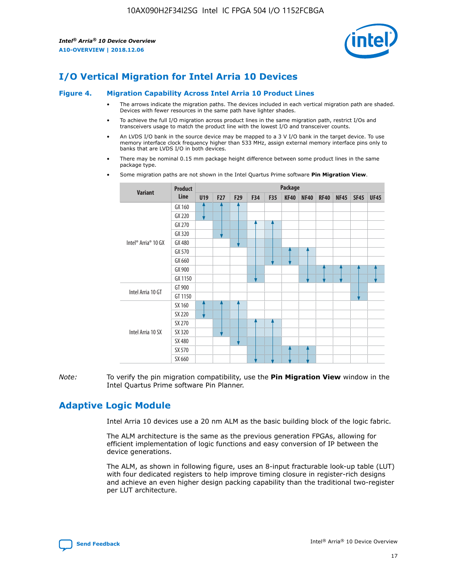

# **I/O Vertical Migration for Intel Arria 10 Devices**

#### **Figure 4. Migration Capability Across Intel Arria 10 Product Lines**

- The arrows indicate the migration paths. The devices included in each vertical migration path are shaded. Devices with fewer resources in the same path have lighter shades.
- To achieve the full I/O migration across product lines in the same migration path, restrict I/Os and transceivers usage to match the product line with the lowest I/O and transceiver counts.
- An LVDS I/O bank in the source device may be mapped to a 3 V I/O bank in the target device. To use memory interface clock frequency higher than 533 MHz, assign external memory interface pins only to banks that are LVDS I/O in both devices.
- There may be nominal 0.15 mm package height difference between some product lines in the same package type.
	- **Variant Product Line Package U19 F27 F29 F34 F35 KF40 NF40 RF40 NF45 SF45 UF45** Intel® Arria® 10 GX GX 160 GX 220 GX 270 GX 320 GX 480 GX 570 GX 660 GX 900 GX 1150 Intel Arria 10 GT GT 900 GT 1150 Intel Arria 10 SX SX 160 SX 220 SX 270 SX 320 SX 480 SX 570 SX 660
- Some migration paths are not shown in the Intel Quartus Prime software **Pin Migration View**.

*Note:* To verify the pin migration compatibility, use the **Pin Migration View** window in the Intel Quartus Prime software Pin Planner.

## **Adaptive Logic Module**

Intel Arria 10 devices use a 20 nm ALM as the basic building block of the logic fabric.

The ALM architecture is the same as the previous generation FPGAs, allowing for efficient implementation of logic functions and easy conversion of IP between the device generations.

The ALM, as shown in following figure, uses an 8-input fracturable look-up table (LUT) with four dedicated registers to help improve timing closure in register-rich designs and achieve an even higher design packing capability than the traditional two-register per LUT architecture.

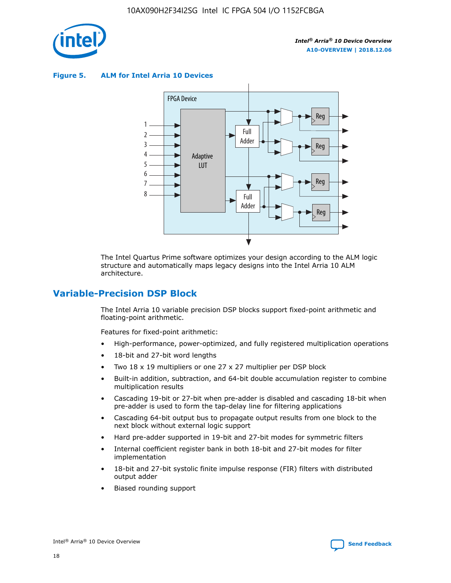

**Figure 5. ALM for Intel Arria 10 Devices**



The Intel Quartus Prime software optimizes your design according to the ALM logic structure and automatically maps legacy designs into the Intel Arria 10 ALM architecture.

## **Variable-Precision DSP Block**

The Intel Arria 10 variable precision DSP blocks support fixed-point arithmetic and floating-point arithmetic.

Features for fixed-point arithmetic:

- High-performance, power-optimized, and fully registered multiplication operations
- 18-bit and 27-bit word lengths
- Two 18 x 19 multipliers or one 27 x 27 multiplier per DSP block
- Built-in addition, subtraction, and 64-bit double accumulation register to combine multiplication results
- Cascading 19-bit or 27-bit when pre-adder is disabled and cascading 18-bit when pre-adder is used to form the tap-delay line for filtering applications
- Cascading 64-bit output bus to propagate output results from one block to the next block without external logic support
- Hard pre-adder supported in 19-bit and 27-bit modes for symmetric filters
- Internal coefficient register bank in both 18-bit and 27-bit modes for filter implementation
- 18-bit and 27-bit systolic finite impulse response (FIR) filters with distributed output adder
- Biased rounding support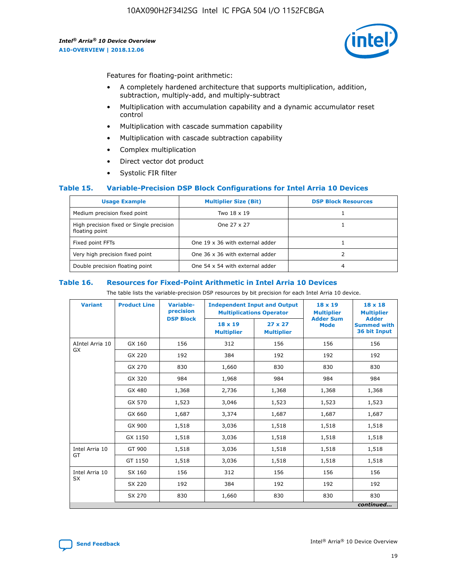

Features for floating-point arithmetic:

- A completely hardened architecture that supports multiplication, addition, subtraction, multiply-add, and multiply-subtract
- Multiplication with accumulation capability and a dynamic accumulator reset control
- Multiplication with cascade summation capability
- Multiplication with cascade subtraction capability
- Complex multiplication
- Direct vector dot product
- Systolic FIR filter

#### **Table 15. Variable-Precision DSP Block Configurations for Intel Arria 10 Devices**

| <b>Usage Example</b>                                       | <b>Multiplier Size (Bit)</b>    | <b>DSP Block Resources</b> |
|------------------------------------------------------------|---------------------------------|----------------------------|
| Medium precision fixed point                               | Two 18 x 19                     |                            |
| High precision fixed or Single precision<br>floating point | One 27 x 27                     |                            |
| Fixed point FFTs                                           | One 19 x 36 with external adder |                            |
| Very high precision fixed point                            | One 36 x 36 with external adder |                            |
| Double precision floating point                            | One 54 x 54 with external adder | 4                          |

#### **Table 16. Resources for Fixed-Point Arithmetic in Intel Arria 10 Devices**

The table lists the variable-precision DSP resources by bit precision for each Intel Arria 10 device.

| <b>Variant</b>  | <b>Product Line</b> | Variable-<br>precision<br><b>DSP Block</b> | <b>Independent Input and Output</b><br><b>Multiplications Operator</b> |                                     | 18 x 19<br><b>Multiplier</b><br><b>Adder Sum</b> | $18 \times 18$<br><b>Multiplier</b><br><b>Adder</b> |
|-----------------|---------------------|--------------------------------------------|------------------------------------------------------------------------|-------------------------------------|--------------------------------------------------|-----------------------------------------------------|
|                 |                     |                                            | 18 x 19<br><b>Multiplier</b>                                           | $27 \times 27$<br><b>Multiplier</b> | <b>Mode</b>                                      | <b>Summed with</b><br>36 bit Input                  |
| AIntel Arria 10 | GX 160              | 156                                        | 312                                                                    | 156                                 | 156                                              | 156                                                 |
| GX              | GX 220              | 192                                        | 384                                                                    | 192                                 | 192                                              | 192                                                 |
|                 | GX 270              | 830                                        | 1,660                                                                  | 830                                 | 830                                              | 830                                                 |
|                 | GX 320              | 984                                        | 1,968                                                                  | 984                                 | 984                                              | 984                                                 |
|                 | GX 480              | 1,368                                      | 2,736                                                                  | 1,368                               | 1,368                                            | 1,368                                               |
|                 | GX 570              | 1,523                                      | 3,046                                                                  | 1,523                               | 1,523                                            | 1,523                                               |
|                 | GX 660              | 1,687                                      | 3,374                                                                  | 1,687                               | 1,687                                            | 1,687                                               |
|                 | GX 900              | 1,518                                      | 3,036                                                                  | 1,518                               | 1,518                                            | 1,518                                               |
|                 | GX 1150             | 1,518                                      | 3,036                                                                  | 1,518                               | 1,518                                            | 1,518                                               |
| Intel Arria 10  | GT 900              | 1,518                                      | 3,036                                                                  | 1,518                               | 1,518                                            | 1,518                                               |
| GT              | GT 1150             | 1,518                                      | 3,036                                                                  | 1,518                               | 1,518                                            | 1,518                                               |
| Intel Arria 10  | SX 160              | 156                                        | 312                                                                    | 156                                 | 156                                              | 156                                                 |
| <b>SX</b>       | SX 220              | 192                                        | 384                                                                    | 192                                 | 192                                              | 192                                                 |
|                 | SX 270              | 830                                        | 1,660                                                                  | 830                                 | 830                                              | 830                                                 |
|                 |                     |                                            |                                                                        |                                     |                                                  | continued                                           |

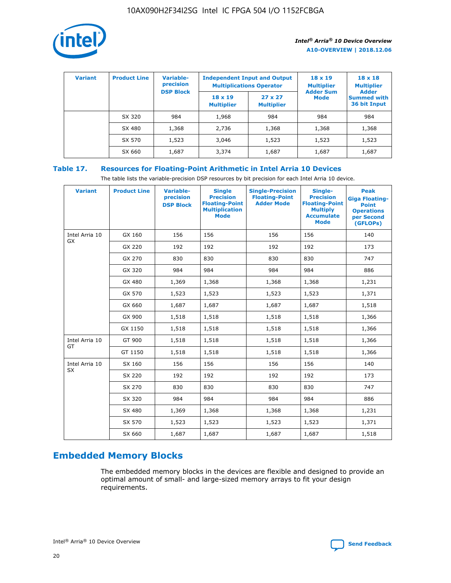

| <b>Variant</b> | <b>Product Line</b> | <b>Variable-</b><br>precision<br><b>DSP Block</b> | <b>Independent Input and Output</b><br><b>Multiplications Operator</b> |                                     | $18 \times 19$<br><b>Multiplier</b><br><b>Adder Sum</b> | $18 \times 18$<br><b>Multiplier</b><br><b>Adder</b> |  |
|----------------|---------------------|---------------------------------------------------|------------------------------------------------------------------------|-------------------------------------|---------------------------------------------------------|-----------------------------------------------------|--|
|                |                     |                                                   | $18 \times 19$<br><b>Multiplier</b>                                    | $27 \times 27$<br><b>Multiplier</b> | <b>Mode</b>                                             | <b>Summed with</b><br>36 bit Input                  |  |
|                | SX 320              | 984                                               | 1,968                                                                  | 984                                 | 984                                                     | 984                                                 |  |
|                | SX 480              | 1,368                                             | 2,736                                                                  | 1,368                               | 1,368                                                   | 1,368                                               |  |
|                | SX 570              | 1,523                                             | 3,046                                                                  | 1,523                               | 1,523                                                   | 1,523                                               |  |
|                | SX 660              | 1,687                                             | 3,374                                                                  | 1,687                               | 1,687                                                   | 1,687                                               |  |

## **Table 17. Resources for Floating-Point Arithmetic in Intel Arria 10 Devices**

The table lists the variable-precision DSP resources by bit precision for each Intel Arria 10 device.

| <b>Variant</b> | <b>Product Line</b> | <b>Variable-</b><br>precision<br><b>DSP Block</b> | <b>Single</b><br><b>Precision</b><br><b>Floating-Point</b><br><b>Multiplication</b><br><b>Mode</b> | <b>Single-Precision</b><br><b>Floating-Point</b><br><b>Adder Mode</b> | Single-<br><b>Precision</b><br><b>Floating-Point</b><br><b>Multiply</b><br><b>Accumulate</b><br><b>Mode</b> | <b>Peak</b><br><b>Giga Floating-</b><br><b>Point</b><br><b>Operations</b><br>per Second<br>(GFLOPs) |
|----------------|---------------------|---------------------------------------------------|----------------------------------------------------------------------------------------------------|-----------------------------------------------------------------------|-------------------------------------------------------------------------------------------------------------|-----------------------------------------------------------------------------------------------------|
| Intel Arria 10 | GX 160              | 156                                               | 156                                                                                                | 156                                                                   | 156                                                                                                         | 140                                                                                                 |
| GX             | GX 220              | 192                                               | 192                                                                                                | 192                                                                   | 192                                                                                                         | 173                                                                                                 |
|                | GX 270              | 830                                               | 830                                                                                                | 830                                                                   | 830                                                                                                         | 747                                                                                                 |
|                | GX 320              | 984                                               | 984                                                                                                | 984                                                                   | 984                                                                                                         | 886                                                                                                 |
|                | GX 480              | 1,369                                             | 1,368                                                                                              | 1,368                                                                 | 1,368                                                                                                       | 1,231                                                                                               |
|                | GX 570              | 1,523                                             | 1,523                                                                                              | 1,523                                                                 | 1,523                                                                                                       | 1,371                                                                                               |
|                | GX 660              | 1,687                                             | 1,687                                                                                              | 1,687                                                                 | 1,687                                                                                                       | 1,518                                                                                               |
|                | GX 900              | 1,518                                             | 1,518                                                                                              | 1,518                                                                 | 1,518                                                                                                       | 1,366                                                                                               |
|                | GX 1150             | 1,518                                             | 1,518                                                                                              | 1,518                                                                 | 1,518                                                                                                       | 1,366                                                                                               |
| Intel Arria 10 | GT 900              | 1,518                                             | 1,518                                                                                              | 1,518                                                                 | 1,518                                                                                                       | 1,366                                                                                               |
| GT             | GT 1150             | 1,518                                             | 1,518                                                                                              | 1,518                                                                 | 1,518                                                                                                       | 1,366                                                                                               |
| Intel Arria 10 | SX 160              | 156                                               | 156                                                                                                | 156                                                                   | 156                                                                                                         | 140                                                                                                 |
| <b>SX</b>      | SX 220              | 192                                               | 192                                                                                                | 192                                                                   | 192                                                                                                         | 173                                                                                                 |
|                | SX 270              | 830                                               | 830                                                                                                | 830                                                                   | 830                                                                                                         | 747                                                                                                 |
|                | SX 320              | 984                                               | 984                                                                                                | 984                                                                   | 984                                                                                                         | 886                                                                                                 |
|                | SX 480              | 1,369                                             | 1,368                                                                                              | 1,368                                                                 | 1,368                                                                                                       | 1,231                                                                                               |
|                | SX 570              | 1,523                                             | 1,523                                                                                              | 1,523                                                                 | 1,523                                                                                                       | 1,371                                                                                               |
|                | SX 660              | 1,687                                             | 1,687                                                                                              | 1,687                                                                 | 1,687                                                                                                       | 1,518                                                                                               |

# **Embedded Memory Blocks**

The embedded memory blocks in the devices are flexible and designed to provide an optimal amount of small- and large-sized memory arrays to fit your design requirements.

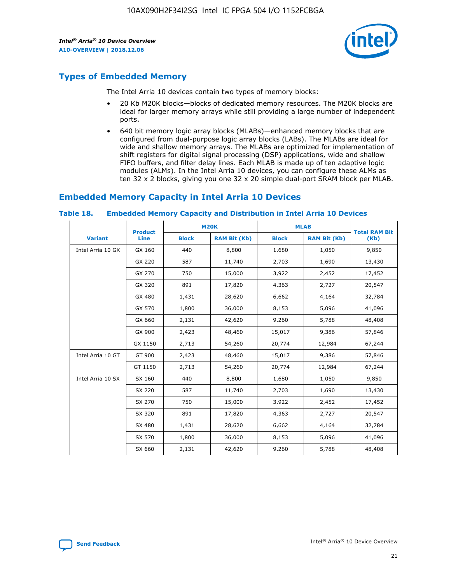

## **Types of Embedded Memory**

The Intel Arria 10 devices contain two types of memory blocks:

- 20 Kb M20K blocks—blocks of dedicated memory resources. The M20K blocks are ideal for larger memory arrays while still providing a large number of independent ports.
- 640 bit memory logic array blocks (MLABs)—enhanced memory blocks that are configured from dual-purpose logic array blocks (LABs). The MLABs are ideal for wide and shallow memory arrays. The MLABs are optimized for implementation of shift registers for digital signal processing (DSP) applications, wide and shallow FIFO buffers, and filter delay lines. Each MLAB is made up of ten adaptive logic modules (ALMs). In the Intel Arria 10 devices, you can configure these ALMs as ten 32 x 2 blocks, giving you one 32 x 20 simple dual-port SRAM block per MLAB.

## **Embedded Memory Capacity in Intel Arria 10 Devices**

|                   | <b>Product</b> |              | <b>M20K</b>         | <b>MLAB</b>  |                     | <b>Total RAM Bit</b> |
|-------------------|----------------|--------------|---------------------|--------------|---------------------|----------------------|
| <b>Variant</b>    | <b>Line</b>    | <b>Block</b> | <b>RAM Bit (Kb)</b> | <b>Block</b> | <b>RAM Bit (Kb)</b> | (Kb)                 |
| Intel Arria 10 GX | GX 160         | 440          | 8,800               | 1,680        | 1,050               | 9,850                |
|                   | GX 220         | 587          | 11,740              | 2,703        | 1,690               | 13,430               |
|                   | GX 270         | 750          | 15,000              | 3,922        | 2,452               | 17,452               |
|                   | GX 320         | 891          | 17,820              | 4,363        | 2,727               | 20,547               |
|                   | GX 480         | 1,431        | 28,620              | 6,662        | 4,164               | 32,784               |
|                   | GX 570         | 1,800        | 36,000              | 8,153        | 5,096               | 41,096               |
|                   | GX 660         | 2,131        | 42,620              | 9,260        | 5,788               | 48,408               |
|                   | GX 900         | 2,423        | 48,460              | 15,017       | 9,386               | 57,846               |
|                   | GX 1150        | 2,713        | 54,260              | 20,774       | 12,984              | 67,244               |
| Intel Arria 10 GT | GT 900         | 2,423        | 48,460              | 15,017       | 9,386               | 57,846               |
|                   | GT 1150        | 2,713        | 54,260              | 20,774       | 12,984              | 67,244               |
| Intel Arria 10 SX | SX 160         | 440          | 8,800               | 1,680        | 1,050               | 9,850                |
|                   | SX 220         | 587          | 11,740              | 2,703        | 1,690               | 13,430               |
|                   | SX 270         | 750          | 15,000              | 3,922        | 2,452               | 17,452               |
|                   | SX 320         | 891          | 17,820              | 4,363        | 2,727               | 20,547               |
|                   | SX 480         | 1,431        | 28,620              | 6,662        | 4,164               | 32,784               |
|                   | SX 570         | 1,800        | 36,000              | 8,153        | 5,096               | 41,096               |
|                   | SX 660         | 2,131        | 42,620              | 9,260        | 5,788               | 48,408               |

#### **Table 18. Embedded Memory Capacity and Distribution in Intel Arria 10 Devices**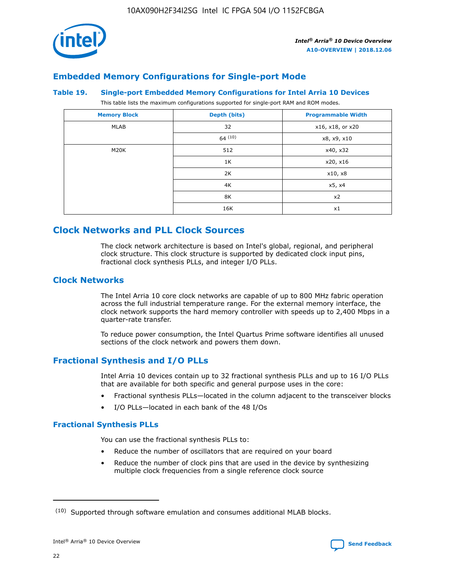

## **Embedded Memory Configurations for Single-port Mode**

#### **Table 19. Single-port Embedded Memory Configurations for Intel Arria 10 Devices**

This table lists the maximum configurations supported for single-port RAM and ROM modes.

| <b>Memory Block</b> | Depth (bits) | <b>Programmable Width</b> |
|---------------------|--------------|---------------------------|
| MLAB                | 32           | x16, x18, or x20          |
|                     | 64(10)       | x8, x9, x10               |
| M20K                | 512          | x40, x32                  |
|                     | 1K           | x20, x16                  |
|                     | 2K           | x10, x8                   |
|                     | 4K           | x5, x4                    |
|                     | 8K           | x2                        |
|                     | 16K          | x1                        |

## **Clock Networks and PLL Clock Sources**

The clock network architecture is based on Intel's global, regional, and peripheral clock structure. This clock structure is supported by dedicated clock input pins, fractional clock synthesis PLLs, and integer I/O PLLs.

## **Clock Networks**

The Intel Arria 10 core clock networks are capable of up to 800 MHz fabric operation across the full industrial temperature range. For the external memory interface, the clock network supports the hard memory controller with speeds up to 2,400 Mbps in a quarter-rate transfer.

To reduce power consumption, the Intel Quartus Prime software identifies all unused sections of the clock network and powers them down.

## **Fractional Synthesis and I/O PLLs**

Intel Arria 10 devices contain up to 32 fractional synthesis PLLs and up to 16 I/O PLLs that are available for both specific and general purpose uses in the core:

- Fractional synthesis PLLs—located in the column adjacent to the transceiver blocks
- I/O PLLs—located in each bank of the 48 I/Os

## **Fractional Synthesis PLLs**

You can use the fractional synthesis PLLs to:

- Reduce the number of oscillators that are required on your board
- Reduce the number of clock pins that are used in the device by synthesizing multiple clock frequencies from a single reference clock source

<sup>(10)</sup> Supported through software emulation and consumes additional MLAB blocks.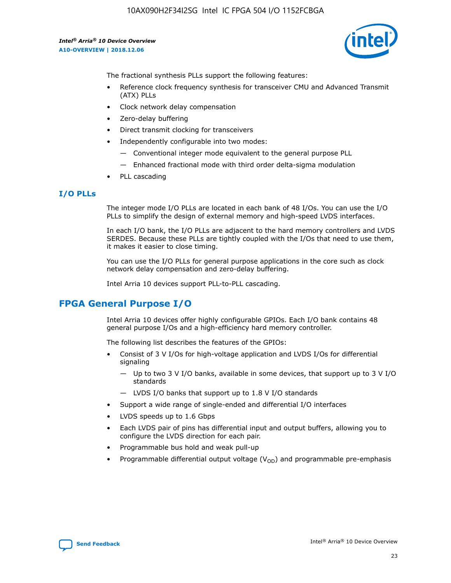

The fractional synthesis PLLs support the following features:

- Reference clock frequency synthesis for transceiver CMU and Advanced Transmit (ATX) PLLs
- Clock network delay compensation
- Zero-delay buffering
- Direct transmit clocking for transceivers
- Independently configurable into two modes:
	- Conventional integer mode equivalent to the general purpose PLL
	- Enhanced fractional mode with third order delta-sigma modulation
- PLL cascading

#### **I/O PLLs**

The integer mode I/O PLLs are located in each bank of 48 I/Os. You can use the I/O PLLs to simplify the design of external memory and high-speed LVDS interfaces.

In each I/O bank, the I/O PLLs are adjacent to the hard memory controllers and LVDS SERDES. Because these PLLs are tightly coupled with the I/Os that need to use them, it makes it easier to close timing.

You can use the I/O PLLs for general purpose applications in the core such as clock network delay compensation and zero-delay buffering.

Intel Arria 10 devices support PLL-to-PLL cascading.

## **FPGA General Purpose I/O**

Intel Arria 10 devices offer highly configurable GPIOs. Each I/O bank contains 48 general purpose I/Os and a high-efficiency hard memory controller.

The following list describes the features of the GPIOs:

- Consist of 3 V I/Os for high-voltage application and LVDS I/Os for differential signaling
	- Up to two 3 V I/O banks, available in some devices, that support up to 3 V I/O standards
	- LVDS I/O banks that support up to 1.8 V I/O standards
- Support a wide range of single-ended and differential I/O interfaces
- LVDS speeds up to 1.6 Gbps
- Each LVDS pair of pins has differential input and output buffers, allowing you to configure the LVDS direction for each pair.
- Programmable bus hold and weak pull-up
- Programmable differential output voltage  $(V_{OD})$  and programmable pre-emphasis

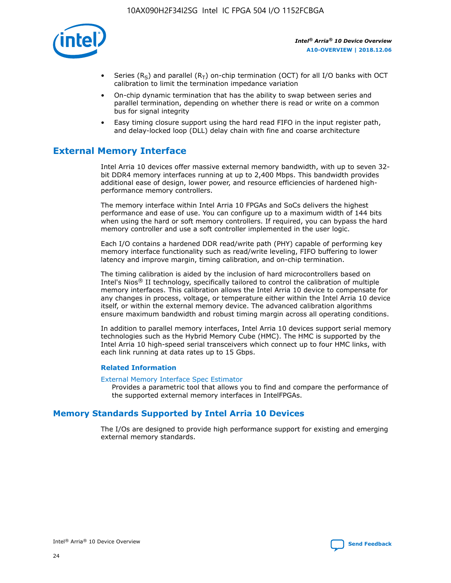

- Series (R<sub>S</sub>) and parallel (R<sub>T</sub>) on-chip termination (OCT) for all I/O banks with OCT calibration to limit the termination impedance variation
- On-chip dynamic termination that has the ability to swap between series and parallel termination, depending on whether there is read or write on a common bus for signal integrity
- Easy timing closure support using the hard read FIFO in the input register path, and delay-locked loop (DLL) delay chain with fine and coarse architecture

## **External Memory Interface**

Intel Arria 10 devices offer massive external memory bandwidth, with up to seven 32 bit DDR4 memory interfaces running at up to 2,400 Mbps. This bandwidth provides additional ease of design, lower power, and resource efficiencies of hardened highperformance memory controllers.

The memory interface within Intel Arria 10 FPGAs and SoCs delivers the highest performance and ease of use. You can configure up to a maximum width of 144 bits when using the hard or soft memory controllers. If required, you can bypass the hard memory controller and use a soft controller implemented in the user logic.

Each I/O contains a hardened DDR read/write path (PHY) capable of performing key memory interface functionality such as read/write leveling, FIFO buffering to lower latency and improve margin, timing calibration, and on-chip termination.

The timing calibration is aided by the inclusion of hard microcontrollers based on Intel's Nios® II technology, specifically tailored to control the calibration of multiple memory interfaces. This calibration allows the Intel Arria 10 device to compensate for any changes in process, voltage, or temperature either within the Intel Arria 10 device itself, or within the external memory device. The advanced calibration algorithms ensure maximum bandwidth and robust timing margin across all operating conditions.

In addition to parallel memory interfaces, Intel Arria 10 devices support serial memory technologies such as the Hybrid Memory Cube (HMC). The HMC is supported by the Intel Arria 10 high-speed serial transceivers which connect up to four HMC links, with each link running at data rates up to 15 Gbps.

#### **Related Information**

#### [External Memory Interface Spec Estimator](http://www.altera.com/technology/memory/estimator/mem-emif-index.html)

Provides a parametric tool that allows you to find and compare the performance of the supported external memory interfaces in IntelFPGAs.

## **Memory Standards Supported by Intel Arria 10 Devices**

The I/Os are designed to provide high performance support for existing and emerging external memory standards.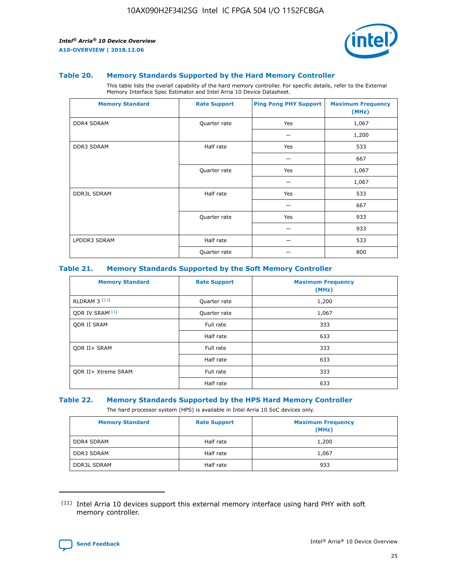

#### **Table 20. Memory Standards Supported by the Hard Memory Controller**

This table lists the overall capability of the hard memory controller. For specific details, refer to the External Memory Interface Spec Estimator and Intel Arria 10 Device Datasheet.

| <b>Memory Standard</b> | <b>Rate Support</b> | <b>Ping Pong PHY Support</b> | <b>Maximum Frequency</b><br>(MHz) |
|------------------------|---------------------|------------------------------|-----------------------------------|
| <b>DDR4 SDRAM</b>      | Quarter rate        | Yes                          | 1,067                             |
|                        |                     |                              | 1,200                             |
| DDR3 SDRAM             | Half rate           | Yes                          | 533                               |
|                        |                     |                              | 667                               |
|                        | Quarter rate        | Yes                          | 1,067                             |
|                        |                     |                              | 1,067                             |
| <b>DDR3L SDRAM</b>     | Half rate           | Yes                          | 533                               |
|                        |                     |                              | 667                               |
|                        | Quarter rate        | Yes                          | 933                               |
|                        |                     |                              | 933                               |
| LPDDR3 SDRAM           | Half rate           |                              | 533                               |
|                        | Quarter rate        |                              | 800                               |

#### **Table 21. Memory Standards Supported by the Soft Memory Controller**

| <b>Memory Standard</b>      | <b>Rate Support</b> | <b>Maximum Frequency</b><br>(MHz) |
|-----------------------------|---------------------|-----------------------------------|
| <b>RLDRAM 3 (11)</b>        | Quarter rate        | 1,200                             |
| ODR IV SRAM <sup>(11)</sup> | Quarter rate        | 1,067                             |
| <b>ODR II SRAM</b>          | Full rate           | 333                               |
|                             | Half rate           | 633                               |
| <b>ODR II+ SRAM</b>         | Full rate           | 333                               |
|                             | Half rate           | 633                               |
| <b>ODR II+ Xtreme SRAM</b>  | Full rate           | 333                               |
|                             | Half rate           | 633                               |

#### **Table 22. Memory Standards Supported by the HPS Hard Memory Controller**

The hard processor system (HPS) is available in Intel Arria 10 SoC devices only.

| <b>Memory Standard</b> | <b>Rate Support</b> | <b>Maximum Frequency</b><br>(MHz) |
|------------------------|---------------------|-----------------------------------|
| <b>DDR4 SDRAM</b>      | Half rate           | 1,200                             |
| <b>DDR3 SDRAM</b>      | Half rate           | 1,067                             |
| <b>DDR3L SDRAM</b>     | Half rate           | 933                               |

<sup>(11)</sup> Intel Arria 10 devices support this external memory interface using hard PHY with soft memory controller.

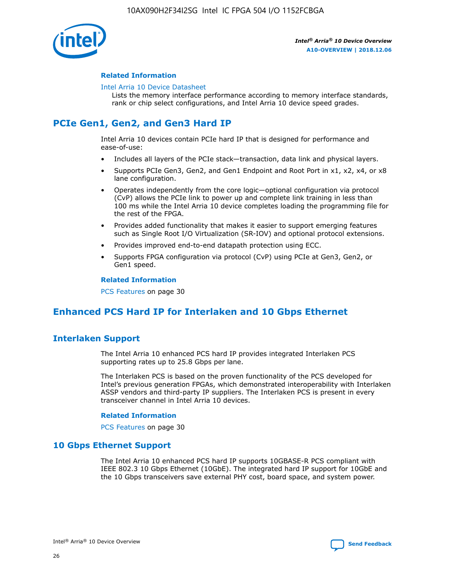

#### **Related Information**

#### [Intel Arria 10 Device Datasheet](https://www.intel.com/content/www/us/en/programmable/documentation/mcn1413182292568.html#mcn1413182153340)

Lists the memory interface performance according to memory interface standards, rank or chip select configurations, and Intel Arria 10 device speed grades.

# **PCIe Gen1, Gen2, and Gen3 Hard IP**

Intel Arria 10 devices contain PCIe hard IP that is designed for performance and ease-of-use:

- Includes all layers of the PCIe stack—transaction, data link and physical layers.
- Supports PCIe Gen3, Gen2, and Gen1 Endpoint and Root Port in x1, x2, x4, or x8 lane configuration.
- Operates independently from the core logic—optional configuration via protocol (CvP) allows the PCIe link to power up and complete link training in less than 100 ms while the Intel Arria 10 device completes loading the programming file for the rest of the FPGA.
- Provides added functionality that makes it easier to support emerging features such as Single Root I/O Virtualization (SR-IOV) and optional protocol extensions.
- Provides improved end-to-end datapath protection using ECC.
- Supports FPGA configuration via protocol (CvP) using PCIe at Gen3, Gen2, or Gen1 speed.

#### **Related Information**

PCS Features on page 30

## **Enhanced PCS Hard IP for Interlaken and 10 Gbps Ethernet**

## **Interlaken Support**

The Intel Arria 10 enhanced PCS hard IP provides integrated Interlaken PCS supporting rates up to 25.8 Gbps per lane.

The Interlaken PCS is based on the proven functionality of the PCS developed for Intel's previous generation FPGAs, which demonstrated interoperability with Interlaken ASSP vendors and third-party IP suppliers. The Interlaken PCS is present in every transceiver channel in Intel Arria 10 devices.

#### **Related Information**

PCS Features on page 30

## **10 Gbps Ethernet Support**

The Intel Arria 10 enhanced PCS hard IP supports 10GBASE-R PCS compliant with IEEE 802.3 10 Gbps Ethernet (10GbE). The integrated hard IP support for 10GbE and the 10 Gbps transceivers save external PHY cost, board space, and system power.

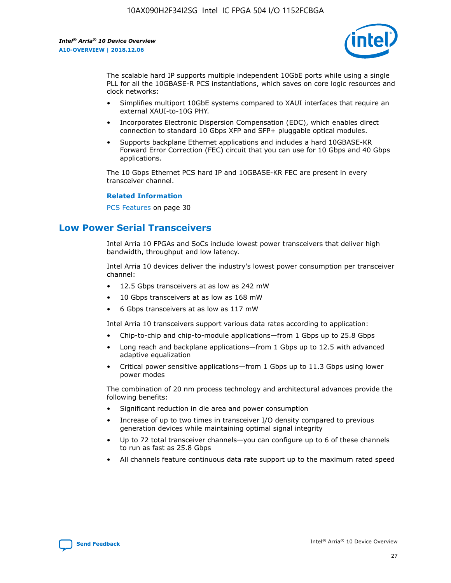

The scalable hard IP supports multiple independent 10GbE ports while using a single PLL for all the 10GBASE-R PCS instantiations, which saves on core logic resources and clock networks:

- Simplifies multiport 10GbE systems compared to XAUI interfaces that require an external XAUI-to-10G PHY.
- Incorporates Electronic Dispersion Compensation (EDC), which enables direct connection to standard 10 Gbps XFP and SFP+ pluggable optical modules.
- Supports backplane Ethernet applications and includes a hard 10GBASE-KR Forward Error Correction (FEC) circuit that you can use for 10 Gbps and 40 Gbps applications.

The 10 Gbps Ethernet PCS hard IP and 10GBASE-KR FEC are present in every transceiver channel.

#### **Related Information**

PCS Features on page 30

## **Low Power Serial Transceivers**

Intel Arria 10 FPGAs and SoCs include lowest power transceivers that deliver high bandwidth, throughput and low latency.

Intel Arria 10 devices deliver the industry's lowest power consumption per transceiver channel:

- 12.5 Gbps transceivers at as low as 242 mW
- 10 Gbps transceivers at as low as 168 mW
- 6 Gbps transceivers at as low as 117 mW

Intel Arria 10 transceivers support various data rates according to application:

- Chip-to-chip and chip-to-module applications—from 1 Gbps up to 25.8 Gbps
- Long reach and backplane applications—from 1 Gbps up to 12.5 with advanced adaptive equalization
- Critical power sensitive applications—from 1 Gbps up to 11.3 Gbps using lower power modes

The combination of 20 nm process technology and architectural advances provide the following benefits:

- Significant reduction in die area and power consumption
- Increase of up to two times in transceiver I/O density compared to previous generation devices while maintaining optimal signal integrity
- Up to 72 total transceiver channels—you can configure up to 6 of these channels to run as fast as 25.8 Gbps
- All channels feature continuous data rate support up to the maximum rated speed

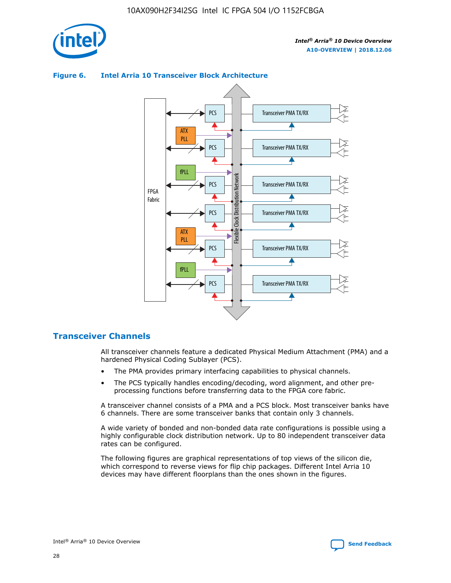



## **Figure 6. Intel Arria 10 Transceiver Block Architecture**

## **Transceiver Channels**

All transceiver channels feature a dedicated Physical Medium Attachment (PMA) and a hardened Physical Coding Sublayer (PCS).

- The PMA provides primary interfacing capabilities to physical channels.
- The PCS typically handles encoding/decoding, word alignment, and other preprocessing functions before transferring data to the FPGA core fabric.

A transceiver channel consists of a PMA and a PCS block. Most transceiver banks have 6 channels. There are some transceiver banks that contain only 3 channels.

A wide variety of bonded and non-bonded data rate configurations is possible using a highly configurable clock distribution network. Up to 80 independent transceiver data rates can be configured.

The following figures are graphical representations of top views of the silicon die, which correspond to reverse views for flip chip packages. Different Intel Arria 10 devices may have different floorplans than the ones shown in the figures.

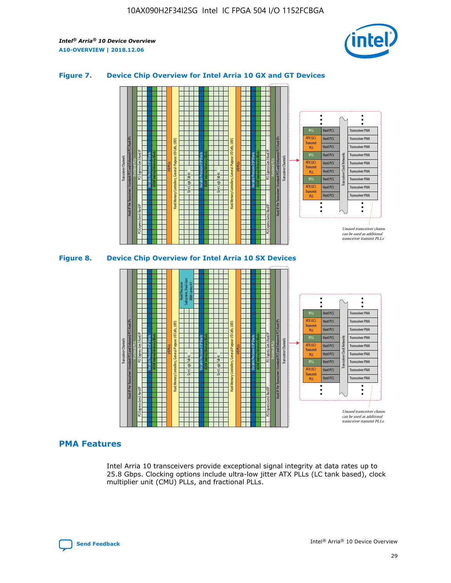

## **Figure 7. Device Chip Overview for Intel Arria 10 GX and GT Devices**



M20K Internal Memory Blocks Core Logic Fabric Transceiver Channels Hard IP Per Transceiver: Standard PCS and Enhanced PCS Hard IPs PCI Express Gen3 Hard IP Fractional PLLs M20K Internal Memory Blocks PCI Express Gen3 Hard IP Variable Precision DSP Blocks I/O PLLs Hard Memory Controllers, General-Purpose I/O Cells, LVDS Hard Processor Subsystem, Dual-Core ARM Cortex A9 M20K Internal Memory Blocks Variable Precision DSP Blocks M20K Internal Memory Blocks Core Logic Fabric I/O PLLs Hard Memory Controllers, General-Purpose I/O Cells, LVDS M20K Internal Memory Blocks Variable Precision DSP Blocks M20K Internal Memory Blocks Transceiver Channels Hard IP Per Transceiver: Standard PCS and Enhanced PCS Hard IPs PCI Express Gen3 Hard IP Fractional PLLs PCI Express Gen3 Hard IP  $\ddot{\cdot}$ Hard PCS Transceiver PMA fPLL ATX (LC) Hard PCS Transceiver PMA **Transmit** Hard PCS Transceiver PMA PLL fPLL Hard PCS Transceiver PMA Transceiver Clock Networks ATX (LC) Hard PCS Transceiver PMA Transmi Hard PCS Transceiver PMA PLL fPLL Hard PCS Transceiver PMA Transceiver PMA Hard PCS ATX (LC) **Transmit** Hard PCS Transceiver PMA PLL Unused transceiver chann can be used as additional transceiver transmit PLLs

## **PMA Features**

Intel Arria 10 transceivers provide exceptional signal integrity at data rates up to 25.8 Gbps. Clocking options include ultra-low jitter ATX PLLs (LC tank based), clock multiplier unit (CMU) PLLs, and fractional PLLs.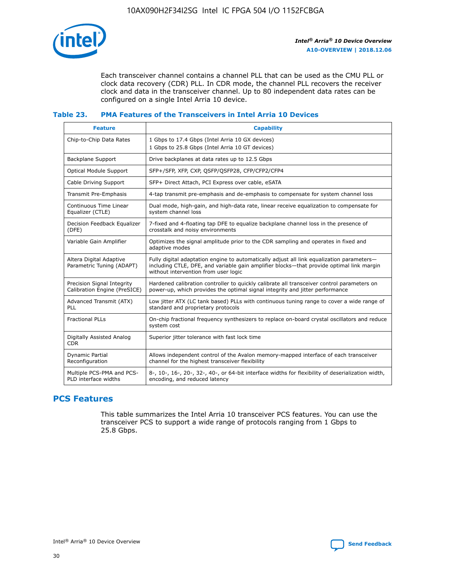

Each transceiver channel contains a channel PLL that can be used as the CMU PLL or clock data recovery (CDR) PLL. In CDR mode, the channel PLL recovers the receiver clock and data in the transceiver channel. Up to 80 independent data rates can be configured on a single Intel Arria 10 device.

## **Table 23. PMA Features of the Transceivers in Intel Arria 10 Devices**

| <b>Feature</b>                                             | <b>Capability</b>                                                                                                                                                                                                             |
|------------------------------------------------------------|-------------------------------------------------------------------------------------------------------------------------------------------------------------------------------------------------------------------------------|
| Chip-to-Chip Data Rates                                    | 1 Gbps to 17.4 Gbps (Intel Arria 10 GX devices)<br>1 Gbps to 25.8 Gbps (Intel Arria 10 GT devices)                                                                                                                            |
| Backplane Support                                          | Drive backplanes at data rates up to 12.5 Gbps                                                                                                                                                                                |
| <b>Optical Module Support</b>                              | SFP+/SFP, XFP, CXP, QSFP/QSFP28, CFP/CFP2/CFP4                                                                                                                                                                                |
| Cable Driving Support                                      | SFP+ Direct Attach, PCI Express over cable, eSATA                                                                                                                                                                             |
| Transmit Pre-Emphasis                                      | 4-tap transmit pre-emphasis and de-emphasis to compensate for system channel loss                                                                                                                                             |
| Continuous Time Linear<br>Equalizer (CTLE)                 | Dual mode, high-gain, and high-data rate, linear receive equalization to compensate for<br>system channel loss                                                                                                                |
| Decision Feedback Equalizer<br>(DFE)                       | 7-fixed and 4-floating tap DFE to equalize backplane channel loss in the presence of<br>crosstalk and noisy environments                                                                                                      |
| Variable Gain Amplifier                                    | Optimizes the signal amplitude prior to the CDR sampling and operates in fixed and<br>adaptive modes                                                                                                                          |
| Altera Digital Adaptive<br>Parametric Tuning (ADAPT)       | Fully digital adaptation engine to automatically adjust all link equalization parameters-<br>including CTLE, DFE, and variable gain amplifier blocks—that provide optimal link margin<br>without intervention from user logic |
| Precision Signal Integrity<br>Calibration Engine (PreSICE) | Hardened calibration controller to quickly calibrate all transceiver control parameters on<br>power-up, which provides the optimal signal integrity and jitter performance                                                    |
| Advanced Transmit (ATX)<br>PLL                             | Low jitter ATX (LC tank based) PLLs with continuous tuning range to cover a wide range of<br>standard and proprietary protocols                                                                                               |
| <b>Fractional PLLs</b>                                     | On-chip fractional frequency synthesizers to replace on-board crystal oscillators and reduce<br>system cost                                                                                                                   |
| Digitally Assisted Analog<br><b>CDR</b>                    | Superior jitter tolerance with fast lock time                                                                                                                                                                                 |
| <b>Dynamic Partial</b><br>Reconfiguration                  | Allows independent control of the Avalon memory-mapped interface of each transceiver<br>channel for the highest transceiver flexibility                                                                                       |
| Multiple PCS-PMA and PCS-<br>PLD interface widths          | 8-, 10-, 16-, 20-, 32-, 40-, or 64-bit interface widths for flexibility of deserialization width,<br>encoding, and reduced latency                                                                                            |

## **PCS Features**

This table summarizes the Intel Arria 10 transceiver PCS features. You can use the transceiver PCS to support a wide range of protocols ranging from 1 Gbps to 25.8 Gbps.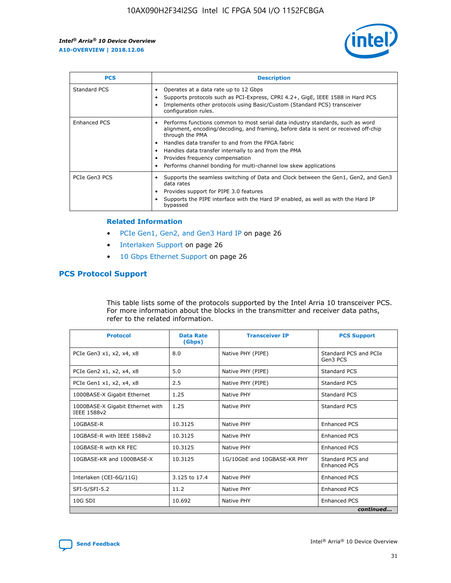

| <b>PCS</b>    | <b>Description</b>                                                                                                                                                                                                                                                                                                                                                                                             |
|---------------|----------------------------------------------------------------------------------------------------------------------------------------------------------------------------------------------------------------------------------------------------------------------------------------------------------------------------------------------------------------------------------------------------------------|
| Standard PCS  | Operates at a data rate up to 12 Gbps<br>Supports protocols such as PCI-Express, CPRI 4.2+, GigE, IEEE 1588 in Hard PCS<br>Implements other protocols using Basic/Custom (Standard PCS) transceiver<br>configuration rules.                                                                                                                                                                                    |
| Enhanced PCS  | Performs functions common to most serial data industry standards, such as word<br>alignment, encoding/decoding, and framing, before data is sent or received off-chip<br>through the PMA<br>• Handles data transfer to and from the FPGA fabric<br>Handles data transfer internally to and from the PMA<br>Provides frequency compensation<br>Performs channel bonding for multi-channel low skew applications |
| PCIe Gen3 PCS | Supports the seamless switching of Data and Clock between the Gen1, Gen2, and Gen3<br>data rates<br>Provides support for PIPE 3.0 features<br>Supports the PIPE interface with the Hard IP enabled, as well as with the Hard IP<br>bypassed                                                                                                                                                                    |

#### **Related Information**

- PCIe Gen1, Gen2, and Gen3 Hard IP on page 26
- Interlaken Support on page 26
- 10 Gbps Ethernet Support on page 26

## **PCS Protocol Support**

This table lists some of the protocols supported by the Intel Arria 10 transceiver PCS. For more information about the blocks in the transmitter and receiver data paths, refer to the related information.

| <b>Protocol</b>                                 | <b>Data Rate</b><br>(Gbps) | <b>Transceiver IP</b>       | <b>PCS Support</b>                      |
|-------------------------------------------------|----------------------------|-----------------------------|-----------------------------------------|
| PCIe Gen3 x1, x2, x4, x8                        | 8.0                        | Native PHY (PIPE)           | Standard PCS and PCIe<br>Gen3 PCS       |
| PCIe Gen2 x1, x2, x4, x8                        | 5.0                        | Native PHY (PIPE)           | <b>Standard PCS</b>                     |
| PCIe Gen1 x1, x2, x4, x8                        | 2.5                        | Native PHY (PIPE)           | Standard PCS                            |
| 1000BASE-X Gigabit Ethernet                     | 1.25                       | Native PHY                  | <b>Standard PCS</b>                     |
| 1000BASE-X Gigabit Ethernet with<br>IEEE 1588v2 | 1.25                       | Native PHY                  | Standard PCS                            |
| 10GBASE-R                                       | 10.3125                    | Native PHY                  | <b>Enhanced PCS</b>                     |
| 10GBASE-R with IEEE 1588v2                      | 10.3125                    | Native PHY                  | <b>Enhanced PCS</b>                     |
| 10GBASE-R with KR FEC                           | 10.3125                    | Native PHY                  | <b>Enhanced PCS</b>                     |
| 10GBASE-KR and 1000BASE-X                       | 10.3125                    | 1G/10GbE and 10GBASE-KR PHY | Standard PCS and<br><b>Enhanced PCS</b> |
| Interlaken (CEI-6G/11G)                         | 3.125 to 17.4              | Native PHY                  | <b>Enhanced PCS</b>                     |
| SFI-S/SFI-5.2                                   | 11.2                       | Native PHY                  | <b>Enhanced PCS</b>                     |
| $10G$ SDI                                       | 10.692                     | Native PHY                  | <b>Enhanced PCS</b>                     |
|                                                 |                            |                             | continued                               |

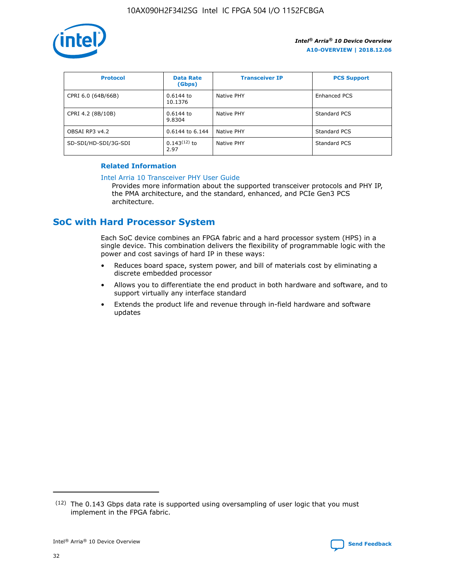

| <b>Protocol</b>      | <b>Data Rate</b><br>(Gbps) | <b>Transceiver IP</b> | <b>PCS Support</b> |
|----------------------|----------------------------|-----------------------|--------------------|
| CPRI 6.0 (64B/66B)   | 0.6144 to<br>10.1376       | Native PHY            | Enhanced PCS       |
| CPRI 4.2 (8B/10B)    | $0.6144$ to<br>9.8304      | Native PHY            | Standard PCS       |
| OBSAI RP3 v4.2       | 0.6144 to 6.144            | Native PHY            | Standard PCS       |
| SD-SDI/HD-SDI/3G-SDI | $0.143(12)$ to<br>2.97     | Native PHY            | Standard PCS       |

## **Related Information**

#### [Intel Arria 10 Transceiver PHY User Guide](https://www.intel.com/content/www/us/en/programmable/documentation/nik1398707230472.html#nik1398707091164)

Provides more information about the supported transceiver protocols and PHY IP, the PMA architecture, and the standard, enhanced, and PCIe Gen3 PCS architecture.

## **SoC with Hard Processor System**

Each SoC device combines an FPGA fabric and a hard processor system (HPS) in a single device. This combination delivers the flexibility of programmable logic with the power and cost savings of hard IP in these ways:

- Reduces board space, system power, and bill of materials cost by eliminating a discrete embedded processor
- Allows you to differentiate the end product in both hardware and software, and to support virtually any interface standard
- Extends the product life and revenue through in-field hardware and software updates

 $(12)$  The 0.143 Gbps data rate is supported using oversampling of user logic that you must implement in the FPGA fabric.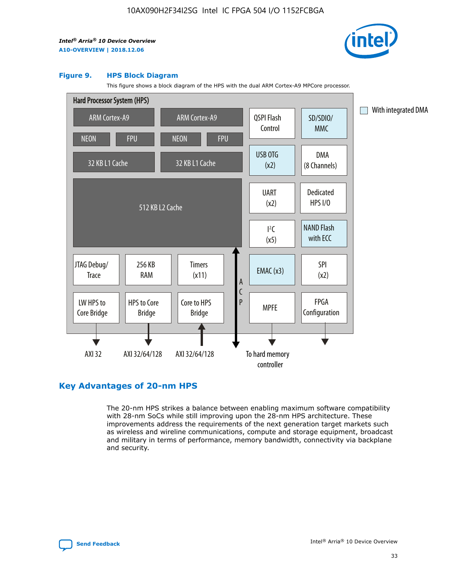

#### **Figure 9. HPS Block Diagram**

This figure shows a block diagram of the HPS with the dual ARM Cortex-A9 MPCore processor.



## **Key Advantages of 20-nm HPS**

The 20-nm HPS strikes a balance between enabling maximum software compatibility with 28-nm SoCs while still improving upon the 28-nm HPS architecture. These improvements address the requirements of the next generation target markets such as wireless and wireline communications, compute and storage equipment, broadcast and military in terms of performance, memory bandwidth, connectivity via backplane and security.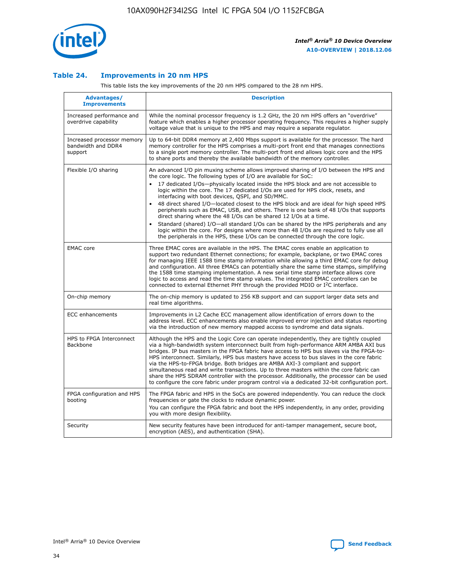

## **Table 24. Improvements in 20 nm HPS**

This table lists the key improvements of the 20 nm HPS compared to the 28 nm HPS.

| Advantages/<br><b>Improvements</b>                          | <b>Description</b>                                                                                                                                                                                                                                                                                                                                                                                                                                                                                                                                                                                                                                                                                                                                                                                                                                                                                                                                |
|-------------------------------------------------------------|---------------------------------------------------------------------------------------------------------------------------------------------------------------------------------------------------------------------------------------------------------------------------------------------------------------------------------------------------------------------------------------------------------------------------------------------------------------------------------------------------------------------------------------------------------------------------------------------------------------------------------------------------------------------------------------------------------------------------------------------------------------------------------------------------------------------------------------------------------------------------------------------------------------------------------------------------|
| Increased performance and<br>overdrive capability           | While the nominal processor frequency is 1.2 GHz, the 20 nm HPS offers an "overdrive"<br>feature which enables a higher processor operating frequency. This requires a higher supply<br>voltage value that is unique to the HPS and may require a separate regulator.                                                                                                                                                                                                                                                                                                                                                                                                                                                                                                                                                                                                                                                                             |
| Increased processor memory<br>bandwidth and DDR4<br>support | Up to 64-bit DDR4 memory at 2,400 Mbps support is available for the processor. The hard<br>memory controller for the HPS comprises a multi-port front end that manages connections<br>to a single port memory controller. The multi-port front end allows logic core and the HPS<br>to share ports and thereby the available bandwidth of the memory controller.                                                                                                                                                                                                                                                                                                                                                                                                                                                                                                                                                                                  |
| Flexible I/O sharing                                        | An advanced I/O pin muxing scheme allows improved sharing of I/O between the HPS and<br>the core logic. The following types of I/O are available for SoC:<br>17 dedicated I/Os-physically located inside the HPS block and are not accessible to<br>$\bullet$<br>logic within the core. The 17 dedicated I/Os are used for HPS clock, resets, and<br>interfacing with boot devices, QSPI, and SD/MMC.<br>48 direct shared I/O-located closest to the HPS block and are ideal for high speed HPS<br>$\bullet$<br>peripherals such as EMAC, USB, and others. There is one bank of 48 I/Os that supports<br>direct sharing where the 48 I/Os can be shared 12 I/Os at a time.<br>Standard (shared) I/O-all standard I/Os can be shared by the HPS peripherals and any<br>logic within the core. For designs where more than 48 I/Os are reguired to fully use all<br>the peripherals in the HPS, these I/Os can be connected through the core logic. |
| <b>EMAC</b> core                                            | Three EMAC cores are available in the HPS. The EMAC cores enable an application to<br>support two redundant Ethernet connections; for example, backplane, or two EMAC cores<br>for managing IEEE 1588 time stamp information while allowing a third EMAC core for debug<br>and configuration. All three EMACs can potentially share the same time stamps, simplifying<br>the 1588 time stamping implementation. A new serial time stamp interface allows core<br>logic to access and read the time stamp values. The integrated EMAC controllers can be<br>connected to external Ethernet PHY through the provided MDIO or I <sup>2</sup> C interface.                                                                                                                                                                                                                                                                                            |
| On-chip memory                                              | The on-chip memory is updated to 256 KB support and can support larger data sets and<br>real time algorithms.                                                                                                                                                                                                                                                                                                                                                                                                                                                                                                                                                                                                                                                                                                                                                                                                                                     |
| <b>ECC</b> enhancements                                     | Improvements in L2 Cache ECC management allow identification of errors down to the<br>address level. ECC enhancements also enable improved error injection and status reporting<br>via the introduction of new memory mapped access to syndrome and data signals.                                                                                                                                                                                                                                                                                                                                                                                                                                                                                                                                                                                                                                                                                 |
| HPS to FPGA Interconnect<br>Backbone                        | Although the HPS and the Logic Core can operate independently, they are tightly coupled<br>via a high-bandwidth system interconnect built from high-performance ARM AMBA AXI bus<br>bridges. IP bus masters in the FPGA fabric have access to HPS bus slaves via the FPGA-to-<br>HPS interconnect. Similarly, HPS bus masters have access to bus slaves in the core fabric<br>via the HPS-to-FPGA bridge. Both bridges are AMBA AXI-3 compliant and support<br>simultaneous read and write transactions. Up to three masters within the core fabric can<br>share the HPS SDRAM controller with the processor. Additionally, the processor can be used<br>to configure the core fabric under program control via a dedicated 32-bit configuration port.                                                                                                                                                                                            |
| FPGA configuration and HPS<br>booting                       | The FPGA fabric and HPS in the SoCs are powered independently. You can reduce the clock<br>frequencies or gate the clocks to reduce dynamic power.<br>You can configure the FPGA fabric and boot the HPS independently, in any order, providing<br>you with more design flexibility.                                                                                                                                                                                                                                                                                                                                                                                                                                                                                                                                                                                                                                                              |
| Security                                                    | New security features have been introduced for anti-tamper management, secure boot,<br>encryption (AES), and authentication (SHA).                                                                                                                                                                                                                                                                                                                                                                                                                                                                                                                                                                                                                                                                                                                                                                                                                |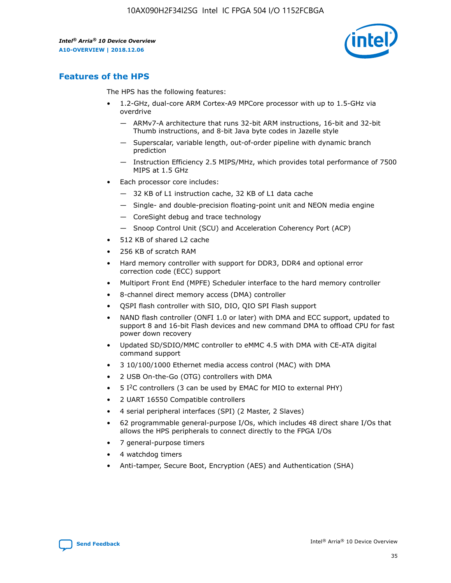

## **Features of the HPS**

The HPS has the following features:

- 1.2-GHz, dual-core ARM Cortex-A9 MPCore processor with up to 1.5-GHz via overdrive
	- ARMv7-A architecture that runs 32-bit ARM instructions, 16-bit and 32-bit Thumb instructions, and 8-bit Java byte codes in Jazelle style
	- Superscalar, variable length, out-of-order pipeline with dynamic branch prediction
	- Instruction Efficiency 2.5 MIPS/MHz, which provides total performance of 7500 MIPS at 1.5 GHz
- Each processor core includes:
	- 32 KB of L1 instruction cache, 32 KB of L1 data cache
	- Single- and double-precision floating-point unit and NEON media engine
	- CoreSight debug and trace technology
	- Snoop Control Unit (SCU) and Acceleration Coherency Port (ACP)
- 512 KB of shared L2 cache
- 256 KB of scratch RAM
- Hard memory controller with support for DDR3, DDR4 and optional error correction code (ECC) support
- Multiport Front End (MPFE) Scheduler interface to the hard memory controller
- 8-channel direct memory access (DMA) controller
- QSPI flash controller with SIO, DIO, QIO SPI Flash support
- NAND flash controller (ONFI 1.0 or later) with DMA and ECC support, updated to support 8 and 16-bit Flash devices and new command DMA to offload CPU for fast power down recovery
- Updated SD/SDIO/MMC controller to eMMC 4.5 with DMA with CE-ATA digital command support
- 3 10/100/1000 Ethernet media access control (MAC) with DMA
- 2 USB On-the-Go (OTG) controllers with DMA
- $\bullet$  5 I<sup>2</sup>C controllers (3 can be used by EMAC for MIO to external PHY)
- 2 UART 16550 Compatible controllers
- 4 serial peripheral interfaces (SPI) (2 Master, 2 Slaves)
- 62 programmable general-purpose I/Os, which includes 48 direct share I/Os that allows the HPS peripherals to connect directly to the FPGA I/Os
- 7 general-purpose timers
- 4 watchdog timers
- Anti-tamper, Secure Boot, Encryption (AES) and Authentication (SHA)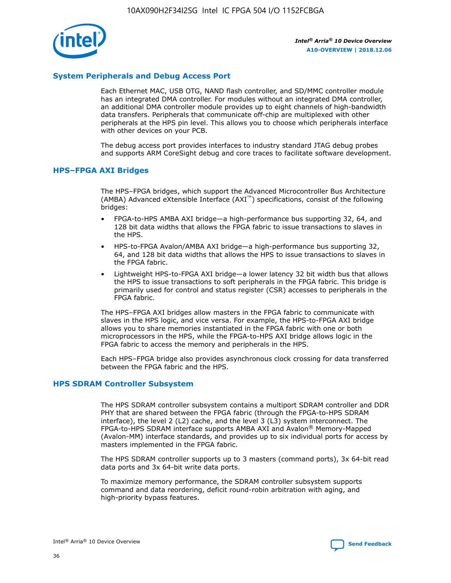

## **System Peripherals and Debug Access Port**

Each Ethernet MAC, USB OTG, NAND flash controller, and SD/MMC controller module has an integrated DMA controller. For modules without an integrated DMA controller, an additional DMA controller module provides up to eight channels of high-bandwidth data transfers. Peripherals that communicate off-chip are multiplexed with other peripherals at the HPS pin level. This allows you to choose which peripherals interface with other devices on your PCB.

The debug access port provides interfaces to industry standard JTAG debug probes and supports ARM CoreSight debug and core traces to facilitate software development.

## **HPS–FPGA AXI Bridges**

The HPS–FPGA bridges, which support the Advanced Microcontroller Bus Architecture (AMBA) Advanced eXtensible Interface (AXI™) specifications, consist of the following bridges:

- FPGA-to-HPS AMBA AXI bridge—a high-performance bus supporting 32, 64, and 128 bit data widths that allows the FPGA fabric to issue transactions to slaves in the HPS.
- HPS-to-FPGA Avalon/AMBA AXI bridge—a high-performance bus supporting 32, 64, and 128 bit data widths that allows the HPS to issue transactions to slaves in the FPGA fabric.
- Lightweight HPS-to-FPGA AXI bridge—a lower latency 32 bit width bus that allows the HPS to issue transactions to soft peripherals in the FPGA fabric. This bridge is primarily used for control and status register (CSR) accesses to peripherals in the FPGA fabric.

The HPS–FPGA AXI bridges allow masters in the FPGA fabric to communicate with slaves in the HPS logic, and vice versa. For example, the HPS-to-FPGA AXI bridge allows you to share memories instantiated in the FPGA fabric with one or both microprocessors in the HPS, while the FPGA-to-HPS AXI bridge allows logic in the FPGA fabric to access the memory and peripherals in the HPS.

Each HPS–FPGA bridge also provides asynchronous clock crossing for data transferred between the FPGA fabric and the HPS.

#### **HPS SDRAM Controller Subsystem**

The HPS SDRAM controller subsystem contains a multiport SDRAM controller and DDR PHY that are shared between the FPGA fabric (through the FPGA-to-HPS SDRAM interface), the level 2 (L2) cache, and the level 3 (L3) system interconnect. The FPGA-to-HPS SDRAM interface supports AMBA AXI and Avalon® Memory-Mapped (Avalon-MM) interface standards, and provides up to six individual ports for access by masters implemented in the FPGA fabric.

The HPS SDRAM controller supports up to 3 masters (command ports), 3x 64-bit read data ports and 3x 64-bit write data ports.

To maximize memory performance, the SDRAM controller subsystem supports command and data reordering, deficit round-robin arbitration with aging, and high-priority bypass features.

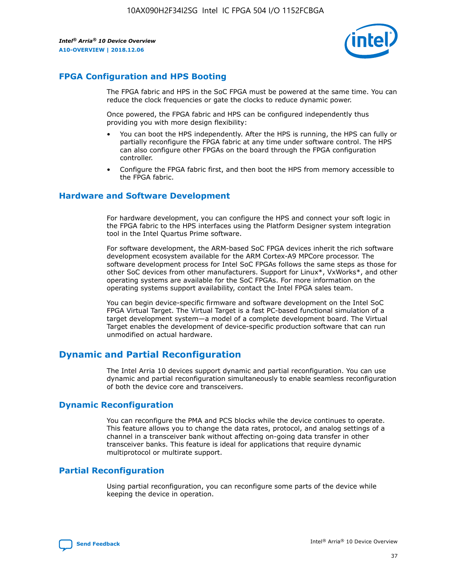

## **FPGA Configuration and HPS Booting**

The FPGA fabric and HPS in the SoC FPGA must be powered at the same time. You can reduce the clock frequencies or gate the clocks to reduce dynamic power.

Once powered, the FPGA fabric and HPS can be configured independently thus providing you with more design flexibility:

- You can boot the HPS independently. After the HPS is running, the HPS can fully or partially reconfigure the FPGA fabric at any time under software control. The HPS can also configure other FPGAs on the board through the FPGA configuration controller.
- Configure the FPGA fabric first, and then boot the HPS from memory accessible to the FPGA fabric.

## **Hardware and Software Development**

For hardware development, you can configure the HPS and connect your soft logic in the FPGA fabric to the HPS interfaces using the Platform Designer system integration tool in the Intel Quartus Prime software.

For software development, the ARM-based SoC FPGA devices inherit the rich software development ecosystem available for the ARM Cortex-A9 MPCore processor. The software development process for Intel SoC FPGAs follows the same steps as those for other SoC devices from other manufacturers. Support for Linux\*, VxWorks\*, and other operating systems are available for the SoC FPGAs. For more information on the operating systems support availability, contact the Intel FPGA sales team.

You can begin device-specific firmware and software development on the Intel SoC FPGA Virtual Target. The Virtual Target is a fast PC-based functional simulation of a target development system—a model of a complete development board. The Virtual Target enables the development of device-specific production software that can run unmodified on actual hardware.

## **Dynamic and Partial Reconfiguration**

The Intel Arria 10 devices support dynamic and partial reconfiguration. You can use dynamic and partial reconfiguration simultaneously to enable seamless reconfiguration of both the device core and transceivers.

## **Dynamic Reconfiguration**

You can reconfigure the PMA and PCS blocks while the device continues to operate. This feature allows you to change the data rates, protocol, and analog settings of a channel in a transceiver bank without affecting on-going data transfer in other transceiver banks. This feature is ideal for applications that require dynamic multiprotocol or multirate support.

## **Partial Reconfiguration**

Using partial reconfiguration, you can reconfigure some parts of the device while keeping the device in operation.

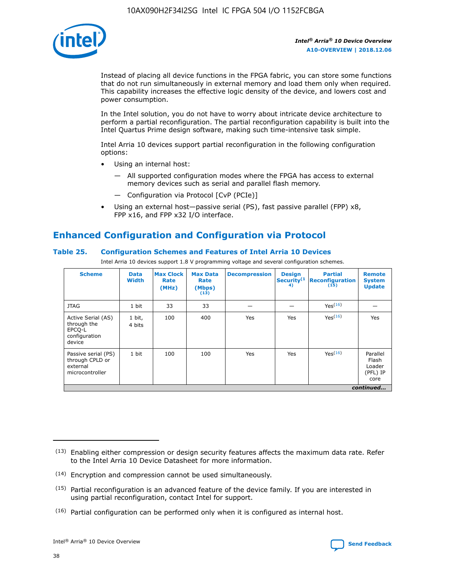

Instead of placing all device functions in the FPGA fabric, you can store some functions that do not run simultaneously in external memory and load them only when required. This capability increases the effective logic density of the device, and lowers cost and power consumption.

In the Intel solution, you do not have to worry about intricate device architecture to perform a partial reconfiguration. The partial reconfiguration capability is built into the Intel Quartus Prime design software, making such time-intensive task simple.

Intel Arria 10 devices support partial reconfiguration in the following configuration options:

- Using an internal host:
	- All supported configuration modes where the FPGA has access to external memory devices such as serial and parallel flash memory.
	- Configuration via Protocol [CvP (PCIe)]
- Using an external host—passive serial (PS), fast passive parallel (FPP) x8, FPP x16, and FPP x32 I/O interface.

# **Enhanced Configuration and Configuration via Protocol**

## **Table 25. Configuration Schemes and Features of Intel Arria 10 Devices**

Intel Arria 10 devices support 1.8 V programming voltage and several configuration schemes.

| <b>Scheme</b>                                                          | <b>Data</b><br><b>Width</b> | <b>Max Clock</b><br>Rate<br>(MHz) | <b>Max Data</b><br>Rate<br>(Mbps)<br>(13) | <b>Decompression</b> | <b>Design</b><br>Security <sup>(1</sup><br>4) | <b>Partial</b><br><b>Reconfiguration</b><br>(15) | <b>Remote</b><br><b>System</b><br><b>Update</b> |
|------------------------------------------------------------------------|-----------------------------|-----------------------------------|-------------------------------------------|----------------------|-----------------------------------------------|--------------------------------------------------|-------------------------------------------------|
| <b>JTAG</b>                                                            | 1 bit                       | 33                                | 33                                        |                      |                                               | Yes(16)                                          |                                                 |
| Active Serial (AS)<br>through the<br>EPCO-L<br>configuration<br>device | 1 bit,<br>4 bits            | 100                               | 400                                       | Yes                  | Yes                                           | $Y_{PS}(16)$                                     | Yes                                             |
| Passive serial (PS)<br>through CPLD or<br>external<br>microcontroller  | 1 bit                       | 100                               | 100                                       | Yes                  | Yes                                           | Yes(16)                                          | Parallel<br>Flash<br>Loader<br>(PFL) IP<br>core |
|                                                                        |                             |                                   |                                           |                      |                                               |                                                  | continued                                       |

<sup>(13)</sup> Enabling either compression or design security features affects the maximum data rate. Refer to the Intel Arria 10 Device Datasheet for more information.

<sup>(14)</sup> Encryption and compression cannot be used simultaneously.

 $<sup>(15)</sup>$  Partial reconfiguration is an advanced feature of the device family. If you are interested in</sup> using partial reconfiguration, contact Intel for support.

 $(16)$  Partial configuration can be performed only when it is configured as internal host.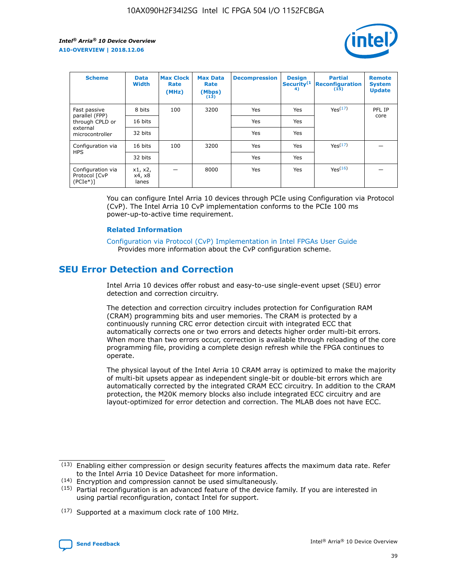

| <b>Scheme</b>                                   | <b>Data</b><br><b>Width</b> | <b>Max Clock</b><br>Rate<br>(MHz) | <b>Max Data</b><br>Rate<br>(Mbps)<br>(13) | <b>Decompression</b> | <b>Design</b><br>Security <sup>(1</sup><br>4) | <b>Partial</b><br><b>Reconfiguration</b><br>(15) | <b>Remote</b><br><b>System</b><br><b>Update</b> |
|-------------------------------------------------|-----------------------------|-----------------------------------|-------------------------------------------|----------------------|-----------------------------------------------|--------------------------------------------------|-------------------------------------------------|
| Fast passive                                    | 8 bits                      | 100                               | 3200                                      | Yes                  | Yes                                           | Yes <sup>(17)</sup>                              | PFL IP                                          |
| parallel (FPP)<br>through CPLD or               | 16 bits                     |                                   |                                           | Yes                  | Yes                                           |                                                  | core                                            |
| external<br>microcontroller                     | 32 bits                     |                                   |                                           | Yes                  | Yes                                           |                                                  |                                                 |
| Configuration via                               | 16 bits                     | 100                               | 3200                                      | Yes                  | Yes                                           | Yes <sup>(17)</sup>                              |                                                 |
| <b>HPS</b>                                      | 32 bits                     |                                   |                                           | Yes                  | Yes                                           |                                                  |                                                 |
| Configuration via<br>Protocol [CvP<br>$(PCIe*)$ | x1, x2,<br>x4, x8<br>lanes  |                                   | 8000                                      | Yes                  | Yes                                           | Yes <sup>(16)</sup>                              |                                                 |

You can configure Intel Arria 10 devices through PCIe using Configuration via Protocol (CvP). The Intel Arria 10 CvP implementation conforms to the PCIe 100 ms power-up-to-active time requirement.

#### **Related Information**

[Configuration via Protocol \(CvP\) Implementation in Intel FPGAs User Guide](https://www.intel.com/content/www/us/en/programmable/documentation/dsu1441819344145.html#dsu1442269728522) Provides more information about the CvP configuration scheme.

## **SEU Error Detection and Correction**

Intel Arria 10 devices offer robust and easy-to-use single-event upset (SEU) error detection and correction circuitry.

The detection and correction circuitry includes protection for Configuration RAM (CRAM) programming bits and user memories. The CRAM is protected by a continuously running CRC error detection circuit with integrated ECC that automatically corrects one or two errors and detects higher order multi-bit errors. When more than two errors occur, correction is available through reloading of the core programming file, providing a complete design refresh while the FPGA continues to operate.

The physical layout of the Intel Arria 10 CRAM array is optimized to make the majority of multi-bit upsets appear as independent single-bit or double-bit errors which are automatically corrected by the integrated CRAM ECC circuitry. In addition to the CRAM protection, the M20K memory blocks also include integrated ECC circuitry and are layout-optimized for error detection and correction. The MLAB does not have ECC.

<sup>(17)</sup> Supported at a maximum clock rate of 100 MHz.



 $(13)$  Enabling either compression or design security features affects the maximum data rate. Refer to the Intel Arria 10 Device Datasheet for more information.

<sup>(14)</sup> Encryption and compression cannot be used simultaneously.

 $(15)$  Partial reconfiguration is an advanced feature of the device family. If you are interested in using partial reconfiguration, contact Intel for support.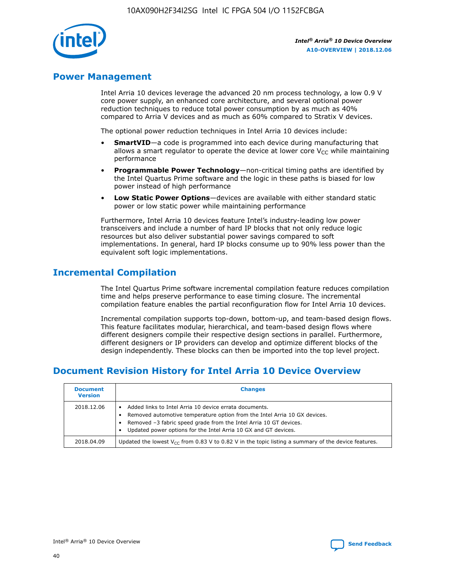

## **Power Management**

Intel Arria 10 devices leverage the advanced 20 nm process technology, a low 0.9 V core power supply, an enhanced core architecture, and several optional power reduction techniques to reduce total power consumption by as much as 40% compared to Arria V devices and as much as 60% compared to Stratix V devices.

The optional power reduction techniques in Intel Arria 10 devices include:

- **SmartVID**—a code is programmed into each device during manufacturing that allows a smart regulator to operate the device at lower core  $V_{CC}$  while maintaining performance
- **Programmable Power Technology**—non-critical timing paths are identified by the Intel Quartus Prime software and the logic in these paths is biased for low power instead of high performance
- **Low Static Power Options**—devices are available with either standard static power or low static power while maintaining performance

Furthermore, Intel Arria 10 devices feature Intel's industry-leading low power transceivers and include a number of hard IP blocks that not only reduce logic resources but also deliver substantial power savings compared to soft implementations. In general, hard IP blocks consume up to 90% less power than the equivalent soft logic implementations.

## **Incremental Compilation**

The Intel Quartus Prime software incremental compilation feature reduces compilation time and helps preserve performance to ease timing closure. The incremental compilation feature enables the partial reconfiguration flow for Intel Arria 10 devices.

Incremental compilation supports top-down, bottom-up, and team-based design flows. This feature facilitates modular, hierarchical, and team-based design flows where different designers compile their respective design sections in parallel. Furthermore, different designers or IP providers can develop and optimize different blocks of the design independently. These blocks can then be imported into the top level project.

# **Document Revision History for Intel Arria 10 Device Overview**

| <b>Document</b><br><b>Version</b> | <b>Changes</b>                                                                                                                                                                                                                                                              |
|-----------------------------------|-----------------------------------------------------------------------------------------------------------------------------------------------------------------------------------------------------------------------------------------------------------------------------|
| 2018.12.06                        | Added links to Intel Arria 10 device errata documents.<br>Removed automotive temperature option from the Intel Arria 10 GX devices.<br>Removed -3 fabric speed grade from the Intel Arria 10 GT devices.<br>Updated power options for the Intel Arria 10 GX and GT devices. |
| 2018.04.09                        | Updated the lowest $V_{CC}$ from 0.83 V to 0.82 V in the topic listing a summary of the device features.                                                                                                                                                                    |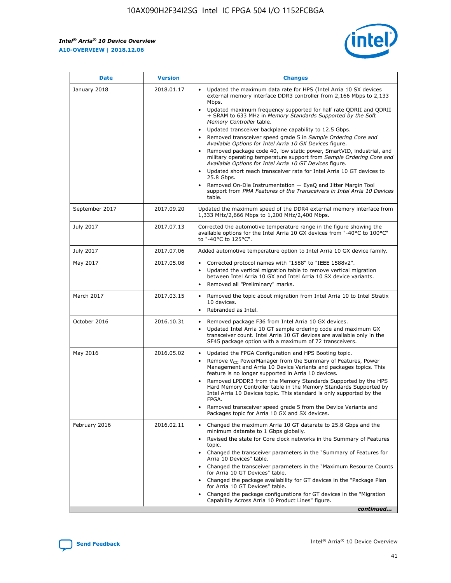*Intel® Arria® 10 Device Overview* **A10-OVERVIEW | 2018.12.06**



| <b>Date</b>    | <b>Version</b> | <b>Changes</b>                                                                                                                                                                                                                                                                                                                                                                                                                                                                                                                                                                                                                                                                                                                                                                                                                                                                                                                                                            |
|----------------|----------------|---------------------------------------------------------------------------------------------------------------------------------------------------------------------------------------------------------------------------------------------------------------------------------------------------------------------------------------------------------------------------------------------------------------------------------------------------------------------------------------------------------------------------------------------------------------------------------------------------------------------------------------------------------------------------------------------------------------------------------------------------------------------------------------------------------------------------------------------------------------------------------------------------------------------------------------------------------------------------|
| January 2018   | 2018.01.17     | Updated the maximum data rate for HPS (Intel Arria 10 SX devices<br>external memory interface DDR3 controller from 2,166 Mbps to 2,133<br>Mbps.<br>Updated maximum frequency supported for half rate QDRII and QDRII<br>+ SRAM to 633 MHz in Memory Standards Supported by the Soft<br>Memory Controller table.<br>Updated transceiver backplane capability to 12.5 Gbps.<br>$\bullet$<br>Removed transceiver speed grade 5 in Sample Ordering Core and<br>Available Options for Intel Arria 10 GX Devices figure.<br>Removed package code 40, low static power, SmartVID, industrial, and<br>military operating temperature support from Sample Ordering Core and<br>Available Options for Intel Arria 10 GT Devices figure.<br>Updated short reach transceiver rate for Intel Arria 10 GT devices to<br>25.8 Gbps.<br>Removed On-Die Instrumentation - EyeQ and Jitter Margin Tool<br>support from PMA Features of the Transceivers in Intel Arria 10 Devices<br>table. |
| September 2017 | 2017.09.20     | Updated the maximum speed of the DDR4 external memory interface from<br>1,333 MHz/2,666 Mbps to 1,200 MHz/2,400 Mbps.                                                                                                                                                                                                                                                                                                                                                                                                                                                                                                                                                                                                                                                                                                                                                                                                                                                     |
| July 2017      | 2017.07.13     | Corrected the automotive temperature range in the figure showing the<br>available options for the Intel Arria 10 GX devices from "-40°C to 100°C"<br>to "-40°C to 125°C".                                                                                                                                                                                                                                                                                                                                                                                                                                                                                                                                                                                                                                                                                                                                                                                                 |
| July 2017      | 2017.07.06     | Added automotive temperature option to Intel Arria 10 GX device family.                                                                                                                                                                                                                                                                                                                                                                                                                                                                                                                                                                                                                                                                                                                                                                                                                                                                                                   |
| May 2017       | 2017.05.08     | Corrected protocol names with "1588" to "IEEE 1588v2".<br>$\bullet$<br>Updated the vertical migration table to remove vertical migration<br>$\bullet$<br>between Intel Arria 10 GX and Intel Arria 10 SX device variants.<br>Removed all "Preliminary" marks.<br>$\bullet$                                                                                                                                                                                                                                                                                                                                                                                                                                                                                                                                                                                                                                                                                                |
| March 2017     | 2017.03.15     | Removed the topic about migration from Intel Arria 10 to Intel Stratix<br>10 devices.<br>Rebranded as Intel.<br>$\bullet$                                                                                                                                                                                                                                                                                                                                                                                                                                                                                                                                                                                                                                                                                                                                                                                                                                                 |
| October 2016   | 2016.10.31     | Removed package F36 from Intel Arria 10 GX devices.<br>Updated Intel Arria 10 GT sample ordering code and maximum GX<br>$\bullet$<br>transceiver count. Intel Arria 10 GT devices are available only in the<br>SF45 package option with a maximum of 72 transceivers.                                                                                                                                                                                                                                                                                                                                                                                                                                                                                                                                                                                                                                                                                                     |
| May 2016       | 2016.05.02     | Updated the FPGA Configuration and HPS Booting topic.<br>$\bullet$<br>Remove V <sub>CC</sub> PowerManager from the Summary of Features, Power<br>Management and Arria 10 Device Variants and packages topics. This<br>feature is no longer supported in Arria 10 devices.<br>Removed LPDDR3 from the Memory Standards Supported by the HPS<br>Hard Memory Controller table in the Memory Standards Supported by<br>Intel Arria 10 Devices topic. This standard is only supported by the<br>FPGA.<br>Removed transceiver speed grade 5 from the Device Variants and<br>Packages topic for Arria 10 GX and SX devices.                                                                                                                                                                                                                                                                                                                                                      |
| February 2016  | 2016.02.11     | Changed the maximum Arria 10 GT datarate to 25.8 Gbps and the<br>minimum datarate to 1 Gbps globally.<br>Revised the state for Core clock networks in the Summary of Features<br>$\bullet$<br>topic.<br>Changed the transceiver parameters in the "Summary of Features for<br>$\bullet$<br>Arria 10 Devices" table.<br>• Changed the transceiver parameters in the "Maximum Resource Counts<br>for Arria 10 GT Devices" table.<br>Changed the package availability for GT devices in the "Package Plan<br>for Arria 10 GT Devices" table.<br>Changed the package configurations for GT devices in the "Migration"<br>Capability Across Arria 10 Product Lines" figure.<br>continued                                                                                                                                                                                                                                                                                       |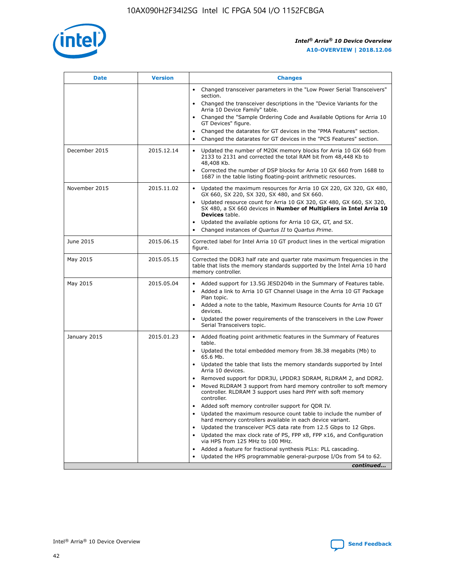

| <b>Date</b>   | <b>Version</b> | <b>Changes</b>                                                                                                                                                               |
|---------------|----------------|------------------------------------------------------------------------------------------------------------------------------------------------------------------------------|
|               |                | • Changed transceiver parameters in the "Low Power Serial Transceivers"<br>section.                                                                                          |
|               |                | • Changed the transceiver descriptions in the "Device Variants for the<br>Arria 10 Device Family" table.                                                                     |
|               |                | Changed the "Sample Ordering Code and Available Options for Arria 10<br>$\bullet$<br>GT Devices" figure.                                                                     |
|               |                | Changed the datarates for GT devices in the "PMA Features" section.                                                                                                          |
|               |                | Changed the datarates for GT devices in the "PCS Features" section.<br>$\bullet$                                                                                             |
| December 2015 | 2015.12.14     | Updated the number of M20K memory blocks for Arria 10 GX 660 from<br>2133 to 2131 and corrected the total RAM bit from 48,448 Kb to<br>48,408 Kb.                            |
|               |                | Corrected the number of DSP blocks for Arria 10 GX 660 from 1688 to<br>1687 in the table listing floating-point arithmetic resources.                                        |
| November 2015 | 2015.11.02     | Updated the maximum resources for Arria 10 GX 220, GX 320, GX 480,<br>$\bullet$<br>GX 660, SX 220, SX 320, SX 480, and SX 660.                                               |
|               |                | • Updated resource count for Arria 10 GX 320, GX 480, GX 660, SX 320,<br>SX 480, a SX 660 devices in Number of Multipliers in Intel Arria 10<br><b>Devices</b> table.        |
|               |                | Updated the available options for Arria 10 GX, GT, and SX.                                                                                                                   |
|               |                | Changed instances of Quartus II to Quartus Prime.<br>$\bullet$                                                                                                               |
| June 2015     | 2015.06.15     | Corrected label for Intel Arria 10 GT product lines in the vertical migration<br>figure.                                                                                     |
| May 2015      | 2015.05.15     | Corrected the DDR3 half rate and quarter rate maximum frequencies in the<br>table that lists the memory standards supported by the Intel Arria 10 hard<br>memory controller. |
| May 2015      | 2015.05.04     | • Added support for 13.5G JESD204b in the Summary of Features table.<br>• Added a link to Arria 10 GT Channel Usage in the Arria 10 GT Package<br>Plan topic.                |
|               |                | • Added a note to the table, Maximum Resource Counts for Arria 10 GT<br>devices.                                                                                             |
|               |                | • Updated the power requirements of the transceivers in the Low Power<br>Serial Transceivers topic.                                                                          |
| January 2015  | 2015.01.23     | • Added floating point arithmetic features in the Summary of Features<br>table.                                                                                              |
|               |                | • Updated the total embedded memory from 38.38 megabits (Mb) to<br>65.6 Mb.                                                                                                  |
|               |                | • Updated the table that lists the memory standards supported by Intel<br>Arria 10 devices.                                                                                  |
|               |                | Removed support for DDR3U, LPDDR3 SDRAM, RLDRAM 2, and DDR2.                                                                                                                 |
|               |                | Moved RLDRAM 3 support from hard memory controller to soft memory<br>controller. RLDRAM 3 support uses hard PHY with soft memory<br>controller.                              |
|               |                | Added soft memory controller support for QDR IV.<br>٠                                                                                                                        |
|               |                | Updated the maximum resource count table to include the number of<br>hard memory controllers available in each device variant.                                               |
|               |                | Updated the transceiver PCS data rate from 12.5 Gbps to 12 Gbps.<br>$\bullet$                                                                                                |
|               |                | Updated the max clock rate of PS, FPP x8, FPP x16, and Configuration<br>via HPS from 125 MHz to 100 MHz.                                                                     |
|               |                | Added a feature for fractional synthesis PLLs: PLL cascading.                                                                                                                |
|               |                | Updated the HPS programmable general-purpose I/Os from 54 to 62.<br>$\bullet$<br>continued                                                                                   |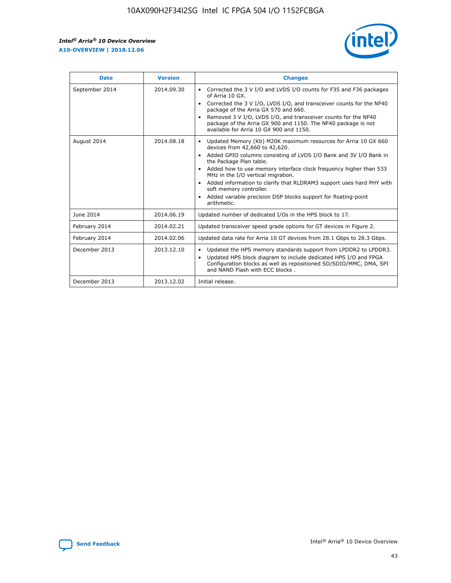r



| <b>Date</b>    | <b>Version</b> | <b>Changes</b>                                                                                                                                                                                                                                                                                                                                                                                                                                                                                                                                      |
|----------------|----------------|-----------------------------------------------------------------------------------------------------------------------------------------------------------------------------------------------------------------------------------------------------------------------------------------------------------------------------------------------------------------------------------------------------------------------------------------------------------------------------------------------------------------------------------------------------|
| September 2014 | 2014.09.30     | Corrected the 3 V I/O and LVDS I/O counts for F35 and F36 packages<br>$\bullet$<br>of Arria 10 GX.<br>Corrected the 3 V I/O, LVDS I/O, and transceiver counts for the NF40<br>$\bullet$<br>package of the Arria GX 570 and 660.<br>Removed 3 V I/O, LVDS I/O, and transceiver counts for the NF40<br>package of the Arria GX 900 and 1150. The NF40 package is not<br>available for Arria 10 GX 900 and 1150.                                                                                                                                       |
| August 2014    | 2014.08.18     | Updated Memory (Kb) M20K maximum resources for Arria 10 GX 660<br>devices from 42,660 to 42,620.<br>Added GPIO columns consisting of LVDS I/O Bank and 3V I/O Bank in<br>$\bullet$<br>the Package Plan table.<br>Added how to use memory interface clock frequency higher than 533<br>$\bullet$<br>MHz in the I/O vertical migration.<br>Added information to clarify that RLDRAM3 support uses hard PHY with<br>$\bullet$<br>soft memory controller.<br>Added variable precision DSP blocks support for floating-point<br>$\bullet$<br>arithmetic. |
| June 2014      | 2014.06.19     | Updated number of dedicated I/Os in the HPS block to 17.                                                                                                                                                                                                                                                                                                                                                                                                                                                                                            |
| February 2014  | 2014.02.21     | Updated transceiver speed grade options for GT devices in Figure 2.                                                                                                                                                                                                                                                                                                                                                                                                                                                                                 |
| February 2014  | 2014.02.06     | Updated data rate for Arria 10 GT devices from 28.1 Gbps to 28.3 Gbps.                                                                                                                                                                                                                                                                                                                                                                                                                                                                              |
| December 2013  | 2013.12.10     | Updated the HPS memory standards support from LPDDR2 to LPDDR3.<br>Updated HPS block diagram to include dedicated HPS I/O and FPGA<br>$\bullet$<br>Configuration blocks as well as repositioned SD/SDIO/MMC, DMA, SPI<br>and NAND Flash with ECC blocks.                                                                                                                                                                                                                                                                                            |
| December 2013  | 2013.12.02     | Initial release.                                                                                                                                                                                                                                                                                                                                                                                                                                                                                                                                    |